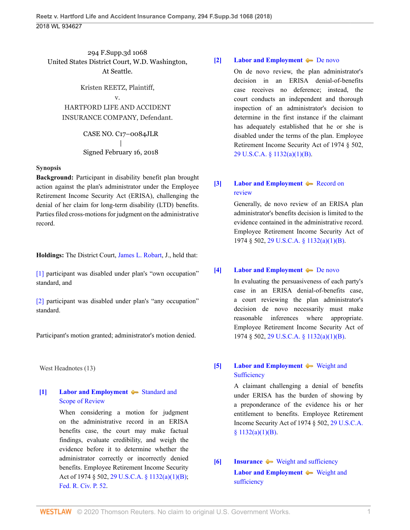294 F.Supp.3d 1068 United States District Court, W.D. Washington, At Seattle.

Kristen REETZ, Plaintiff, v. HARTFORD LIFE AND ACCIDENT INSURANCE COMPANY, Defendant.

> CASE NO. C17–0084JLR | Signed February 16, 2018

#### **Synopsis**

**Background:** Participant in disability benefit plan brought action against the plan's administrator under the Employee Retirement Income Security Act (ERISA), challenging the denial of her claim for long-term disability (LTD) benefits. Parties filed cross-motions for judgment on the administrative record.

**Holdings:** The District Court, [James L. Robart,](http://www.westlaw.com/Link/Document/FullText?findType=h&pubNum=176284&cite=0181380101&originatingDoc=Id4b79a80158b11e8b0f5f1ddd5677a94&refType=RQ&originationContext=document&vr=3.0&rs=cblt1.0&transitionType=DocumentItem&contextData=(sc.UserEnteredCitation)) J., held that:

[\[1\]](#page-0-0) participant was disabled under plan's "own occupation" standard, and

[\[2\]](#page-1-0) participant was disabled under plan's "any occupation" standard.

Participant's motion granted; administrator's motion denied.

West Headnotes (13)

## <span id="page-0-1"></span>**[\[1\]](#page-7-0) [Labor and Employment](http://www.westlaw.com/Browse/Home/KeyNumber/231H/View.html?docGuid=Id4b79a80158b11e8b0f5f1ddd5677a94&originationContext=document&vr=3.0&rs=cblt1.0&transitionType=DocumentItem&contextData=(sc.UserEnteredCitation))**  $\blacktriangleright$  [Standard and](http://www.westlaw.com/Browse/Home/KeyNumber/231Hk684/View.html?docGuid=Id4b79a80158b11e8b0f5f1ddd5677a94&originationContext=document&vr=3.0&rs=cblt1.0&transitionType=DocumentItem&contextData=(sc.UserEnteredCitation)) [Scope of Review](http://www.westlaw.com/Browse/Home/KeyNumber/231Hk684/View.html?docGuid=Id4b79a80158b11e8b0f5f1ddd5677a94&originationContext=document&vr=3.0&rs=cblt1.0&transitionType=DocumentItem&contextData=(sc.UserEnteredCitation))

When considering a motion for judgment on the administrative record in an ERISA benefits case, the court may make factual findings, evaluate credibility, and weigh the evidence before it to determine whether the administrator correctly or incorrectly denied benefits. Employee Retirement Income Security Act of 1974 § 502, [29 U.S.C.A. § 1132\(a\)\(1\)\(B\);](http://www.westlaw.com/Link/Document/FullText?findType=L&pubNum=1000546&cite=29USCAS1132&originatingDoc=Id4b79a80158b11e8b0f5f1ddd5677a94&refType=SP&originationContext=document&vr=3.0&rs=cblt1.0&transitionType=DocumentItem&contextData=(sc.UserEnteredCitation)#co_pp_50660000823d1) [Fed. R. Civ. P. 52](http://www.westlaw.com/Link/Document/FullText?findType=L&pubNum=1000600&cite=USFRCPR52&originatingDoc=Id4b79a80158b11e8b0f5f1ddd5677a94&refType=LQ&originationContext=document&vr=3.0&rs=cblt1.0&transitionType=DocumentItem&contextData=(sc.UserEnteredCitation)).

### <span id="page-0-2"></span>**[\[2\]](#page-7-1) [Labor and Employment](http://www.westlaw.com/Browse/Home/KeyNumber/231H/View.html?docGuid=Id4b79a80158b11e8b0f5f1ddd5677a94&originationContext=document&vr=3.0&rs=cblt1.0&transitionType=DocumentItem&contextData=(sc.UserEnteredCitation)) [De novo](http://www.westlaw.com/Browse/Home/KeyNumber/231Hk686/View.html?docGuid=Id4b79a80158b11e8b0f5f1ddd5677a94&originationContext=document&vr=3.0&rs=cblt1.0&transitionType=DocumentItem&contextData=(sc.UserEnteredCitation))**

On de novo review, the plan administrator's decision in an ERISA denial-of-benefits case receives no deference; instead, the court conducts an independent and thorough inspection of an administrator's decision to determine in the first instance if the claimant has adequately established that he or she is disabled under the terms of the plan. Employee Retirement Income Security Act of 1974 § 502, [29 U.S.C.A. § 1132\(a\)\(1\)\(B\)](http://www.westlaw.com/Link/Document/FullText?findType=L&pubNum=1000546&cite=29USCAS1132&originatingDoc=Id4b79a80158b11e8b0f5f1ddd5677a94&refType=SP&originationContext=document&vr=3.0&rs=cblt1.0&transitionType=DocumentItem&contextData=(sc.UserEnteredCitation)#co_pp_50660000823d1).

## <span id="page-0-3"></span>**[\[3\]](#page-7-2) [Labor and Employment](http://www.westlaw.com/Browse/Home/KeyNumber/231H/View.html?docGuid=Id4b79a80158b11e8b0f5f1ddd5677a94&originationContext=document&vr=3.0&rs=cblt1.0&transitionType=DocumentItem&contextData=(sc.UserEnteredCitation))**  $\blacklozenge$  [Record on](http://www.westlaw.com/Browse/Home/KeyNumber/231Hk691/View.html?docGuid=Id4b79a80158b11e8b0f5f1ddd5677a94&originationContext=document&vr=3.0&rs=cblt1.0&transitionType=DocumentItem&contextData=(sc.UserEnteredCitation)) [review](http://www.westlaw.com/Browse/Home/KeyNumber/231Hk691/View.html?docGuid=Id4b79a80158b11e8b0f5f1ddd5677a94&originationContext=document&vr=3.0&rs=cblt1.0&transitionType=DocumentItem&contextData=(sc.UserEnteredCitation))

Generally, de novo review of an ERISA plan administrator's benefits decision is limited to the evidence contained in the administrative record. Employee Retirement Income Security Act of 1974 § 502, [29 U.S.C.A. § 1132\(a\)\(1\)\(B\)](http://www.westlaw.com/Link/Document/FullText?findType=L&pubNum=1000546&cite=29USCAS1132&originatingDoc=Id4b79a80158b11e8b0f5f1ddd5677a94&refType=SP&originationContext=document&vr=3.0&rs=cblt1.0&transitionType=DocumentItem&contextData=(sc.UserEnteredCitation)#co_pp_50660000823d1).

## <span id="page-0-4"></span>**[\[4\]](#page-7-3) [Labor and Employment](http://www.westlaw.com/Browse/Home/KeyNumber/231H/View.html?docGuid=Id4b79a80158b11e8b0f5f1ddd5677a94&originationContext=document&vr=3.0&rs=cblt1.0&transitionType=DocumentItem&contextData=(sc.UserEnteredCitation)) [De novo](http://www.westlaw.com/Browse/Home/KeyNumber/231Hk686/View.html?docGuid=Id4b79a80158b11e8b0f5f1ddd5677a94&originationContext=document&vr=3.0&rs=cblt1.0&transitionType=DocumentItem&contextData=(sc.UserEnteredCitation))**

In evaluating the persuasiveness of each party's case in an ERISA denial-of-benefits case, a court reviewing the plan administrator's decision de novo necessarily must make reasonable inferences where appropriate. Employee Retirement Income Security Act of 1974 § 502, [29 U.S.C.A. § 1132\(a\)\(1\)\(B\)](http://www.westlaw.com/Link/Document/FullText?findType=L&pubNum=1000546&cite=29USCAS1132&originatingDoc=Id4b79a80158b11e8b0f5f1ddd5677a94&refType=SP&originationContext=document&vr=3.0&rs=cblt1.0&transitionType=DocumentItem&contextData=(sc.UserEnteredCitation)#co_pp_50660000823d1).

## <span id="page-0-5"></span>**[\[5\]](#page-7-4) [Labor and Employment](http://www.westlaw.com/Browse/Home/KeyNumber/231H/View.html?docGuid=Id4b79a80158b11e8b0f5f1ddd5677a94&originationContext=document&vr=3.0&rs=cblt1.0&transitionType=DocumentItem&contextData=(sc.UserEnteredCitation))**  $\blacklozenge$  **[Weight and](http://www.westlaw.com/Browse/Home/KeyNumber/231Hk696/View.html?docGuid=Id4b79a80158b11e8b0f5f1ddd5677a94&originationContext=document&vr=3.0&rs=cblt1.0&transitionType=DocumentItem&contextData=(sc.UserEnteredCitation)) [Sufficiency](http://www.westlaw.com/Browse/Home/KeyNumber/231Hk696/View.html?docGuid=Id4b79a80158b11e8b0f5f1ddd5677a94&originationContext=document&vr=3.0&rs=cblt1.0&transitionType=DocumentItem&contextData=(sc.UserEnteredCitation))**

A claimant challenging a denial of benefits under ERISA has the burden of showing by a preponderance of the evidence his or her entitlement to benefits. Employee Retirement Income Security Act of 1974 § 502, [29 U.S.C.A.](http://www.westlaw.com/Link/Document/FullText?findType=L&pubNum=1000546&cite=29USCAS1132&originatingDoc=Id4b79a80158b11e8b0f5f1ddd5677a94&refType=SP&originationContext=document&vr=3.0&rs=cblt1.0&transitionType=DocumentItem&contextData=(sc.UserEnteredCitation)#co_pp_50660000823d1)  $$1132(a)(1)(B).$ 

# <span id="page-0-0"></span>**[\[6\]](#page-7-5) [Insurance](http://www.westlaw.com/Browse/Home/KeyNumber/217/View.html?docGuid=Id4b79a80158b11e8b0f5f1ddd5677a94&originationContext=document&vr=3.0&rs=cblt1.0&transitionType=DocumentItem&contextData=(sc.UserEnteredCitation))**  $\blacktriangleright$  [Weight and sufficiency](http://www.westlaw.com/Browse/Home/KeyNumber/217k2578/View.html?docGuid=Id4b79a80158b11e8b0f5f1ddd5677a94&originationContext=document&vr=3.0&rs=cblt1.0&transitionType=DocumentItem&contextData=(sc.UserEnteredCitation)) **[Labor and Employment](http://www.westlaw.com/Browse/Home/KeyNumber/231H/View.html?docGuid=Id4b79a80158b11e8b0f5f1ddd5677a94&originationContext=document&vr=3.0&rs=cblt1.0&transitionType=DocumentItem&contextData=(sc.UserEnteredCitation))**  $\blacklozenge$  [Weight and](http://www.westlaw.com/Browse/Home/KeyNumber/231Hk629(2)/View.html?docGuid=Id4b79a80158b11e8b0f5f1ddd5677a94&originationContext=document&vr=3.0&rs=cblt1.0&transitionType=DocumentItem&contextData=(sc.UserEnteredCitation)) [sufficiency](http://www.westlaw.com/Browse/Home/KeyNumber/231Hk629(2)/View.html?docGuid=Id4b79a80158b11e8b0f5f1ddd5677a94&originationContext=document&vr=3.0&rs=cblt1.0&transitionType=DocumentItem&contextData=(sc.UserEnteredCitation))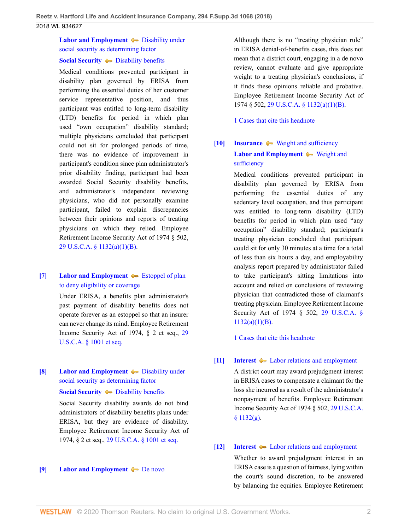# **[Labor and Employment](http://www.westlaw.com/Browse/Home/KeyNumber/231H/View.html?docGuid=Id4b79a80158b11e8b0f5f1ddd5677a94&originationContext=document&vr=3.0&rs=cblt1.0&transitionType=DocumentItem&contextData=(sc.UserEnteredCitation))**  $\bullet$  [Disability under](http://www.westlaw.com/Browse/Home/KeyNumber/231Hk629(3)/View.html?docGuid=Id4b79a80158b11e8b0f5f1ddd5677a94&originationContext=document&vr=3.0&rs=cblt1.0&transitionType=DocumentItem&contextData=(sc.UserEnteredCitation)) [social security as determining factor](http://www.westlaw.com/Browse/Home/KeyNumber/231Hk629(3)/View.html?docGuid=Id4b79a80158b11e8b0f5f1ddd5677a94&originationContext=document&vr=3.0&rs=cblt1.0&transitionType=DocumentItem&contextData=(sc.UserEnteredCitation))

# **[Social Security](http://www.westlaw.com/Browse/Home/KeyNumber/356H/View.html?docGuid=Id4b79a80158b11e8b0f5f1ddd5677a94&originationContext=document&vr=3.0&rs=cblt1.0&transitionType=DocumentItem&contextData=(sc.UserEnteredCitation))**  $\bullet$  [Disability benefits](http://www.westlaw.com/Browse/Home/KeyNumber/356Hk224(3)/View.html?docGuid=Id4b79a80158b11e8b0f5f1ddd5677a94&originationContext=document&vr=3.0&rs=cblt1.0&transitionType=DocumentItem&contextData=(sc.UserEnteredCitation))

Medical conditions prevented participant in disability plan governed by ERISA from performing the essential duties of her customer service representative position, and thus participant was entitled to long-term disability (LTD) benefits for period in which plan used "own occupation" disability standard; multiple physicians concluded that participant could not sit for prolonged periods of time, there was no evidence of improvement in participant's condition since plan administrator's prior disability finding, participant had been awarded Social Security disability benefits, and administrator's independent reviewing physicians, who did not personally examine participant, failed to explain discrepancies between their opinions and reports of treating physicians on which they relied. Employee Retirement Income Security Act of 1974 § 502, [29 U.S.C.A. § 1132\(a\)\(1\)\(B\)](http://www.westlaw.com/Link/Document/FullText?findType=L&pubNum=1000546&cite=29USCAS1132&originatingDoc=Id4b79a80158b11e8b0f5f1ddd5677a94&refType=SP&originationContext=document&vr=3.0&rs=cblt1.0&transitionType=DocumentItem&contextData=(sc.UserEnteredCitation)#co_pp_50660000823d1).

## <span id="page-1-1"></span>**[\[7\]](#page-8-0) [Labor and Employment](http://www.westlaw.com/Browse/Home/KeyNumber/231H/View.html?docGuid=Id4b79a80158b11e8b0f5f1ddd5677a94&originationContext=document&vr=3.0&rs=cblt1.0&transitionType=DocumentItem&contextData=(sc.UserEnteredCitation))**  $\blacklozenge$  **[Estoppel of plan](http://www.westlaw.com/Browse/Home/KeyNumber/231Hk555/View.html?docGuid=Id4b79a80158b11e8b0f5f1ddd5677a94&originationContext=document&vr=3.0&rs=cblt1.0&transitionType=DocumentItem&contextData=(sc.UserEnteredCitation))** [to deny eligibility or coverage](http://www.westlaw.com/Browse/Home/KeyNumber/231Hk555/View.html?docGuid=Id4b79a80158b11e8b0f5f1ddd5677a94&originationContext=document&vr=3.0&rs=cblt1.0&transitionType=DocumentItem&contextData=(sc.UserEnteredCitation))

Under ERISA, a benefits plan administrator's past payment of disability benefits does not operate forever as an estoppel so that an insurer can never change its mind. Employee Retirement Income Security Act of 1974, § 2 et seq., [29](http://www.westlaw.com/Link/Document/FullText?findType=L&pubNum=1000546&cite=29USCAS1001&originatingDoc=Id4b79a80158b11e8b0f5f1ddd5677a94&refType=LQ&originationContext=document&vr=3.0&rs=cblt1.0&transitionType=DocumentItem&contextData=(sc.UserEnteredCitation)) [U.S.C.A. § 1001 et seq.](http://www.westlaw.com/Link/Document/FullText?findType=L&pubNum=1000546&cite=29USCAS1001&originatingDoc=Id4b79a80158b11e8b0f5f1ddd5677a94&refType=LQ&originationContext=document&vr=3.0&rs=cblt1.0&transitionType=DocumentItem&contextData=(sc.UserEnteredCitation))

# <span id="page-1-2"></span>**[\[8\]](#page-10-0) [Labor and Employment](http://www.westlaw.com/Browse/Home/KeyNumber/231H/View.html?docGuid=Id4b79a80158b11e8b0f5f1ddd5677a94&originationContext=document&vr=3.0&rs=cblt1.0&transitionType=DocumentItem&contextData=(sc.UserEnteredCitation))**  $\blacklozenge$  [Disability under](http://www.westlaw.com/Browse/Home/KeyNumber/231Hk629(3)/View.html?docGuid=Id4b79a80158b11e8b0f5f1ddd5677a94&originationContext=document&vr=3.0&rs=cblt1.0&transitionType=DocumentItem&contextData=(sc.UserEnteredCitation)) [social security as determining factor](http://www.westlaw.com/Browse/Home/KeyNumber/231Hk629(3)/View.html?docGuid=Id4b79a80158b11e8b0f5f1ddd5677a94&originationContext=document&vr=3.0&rs=cblt1.0&transitionType=DocumentItem&contextData=(sc.UserEnteredCitation))

### **[Social Security](http://www.westlaw.com/Browse/Home/KeyNumber/356H/View.html?docGuid=Id4b79a80158b11e8b0f5f1ddd5677a94&originationContext=document&vr=3.0&rs=cblt1.0&transitionType=DocumentItem&contextData=(sc.UserEnteredCitation))**  $\rightarrow$  [Disability benefits](http://www.westlaw.com/Browse/Home/KeyNumber/356Hk224(3)/View.html?docGuid=Id4b79a80158b11e8b0f5f1ddd5677a94&originationContext=document&vr=3.0&rs=cblt1.0&transitionType=DocumentItem&contextData=(sc.UserEnteredCitation))

Social Security disability awards do not bind administrators of disability benefits plans under ERISA, but they are evidence of disability. Employee Retirement Income Security Act of 1974, § 2 et seq., [29 U.S.C.A. § 1001 et seq.](http://www.westlaw.com/Link/Document/FullText?findType=L&pubNum=1000546&cite=29USCAS1001&originatingDoc=Id4b79a80158b11e8b0f5f1ddd5677a94&refType=LQ&originationContext=document&vr=3.0&rs=cblt1.0&transitionType=DocumentItem&contextData=(sc.UserEnteredCitation))

### <span id="page-1-3"></span>**[\[9\]](#page-10-1) [Labor and Employment](http://www.westlaw.com/Browse/Home/KeyNumber/231H/View.html?docGuid=Id4b79a80158b11e8b0f5f1ddd5677a94&originationContext=document&vr=3.0&rs=cblt1.0&transitionType=DocumentItem&contextData=(sc.UserEnteredCitation)) [De novo](http://www.westlaw.com/Browse/Home/KeyNumber/231Hk686/View.html?docGuid=Id4b79a80158b11e8b0f5f1ddd5677a94&originationContext=document&vr=3.0&rs=cblt1.0&transitionType=DocumentItem&contextData=(sc.UserEnteredCitation))**

Although there is no "treating physician rule" in ERISA denial-of-benefits cases, this does not mean that a district court, engaging in a de novo review, cannot evaluate and give appropriate weight to a treating physician's conclusions, if it finds these opinions reliable and probative. Employee Retirement Income Security Act of 1974 § 502, [29 U.S.C.A. § 1132\(a\)\(1\)\(B\)](http://www.westlaw.com/Link/Document/FullText?findType=L&pubNum=1000546&cite=29USCAS1132&originatingDoc=Id4b79a80158b11e8b0f5f1ddd5677a94&refType=SP&originationContext=document&vr=3.0&rs=cblt1.0&transitionType=DocumentItem&contextData=(sc.UserEnteredCitation)#co_pp_50660000823d1).

[1 Cases that cite this headnote](http://www.westlaw.com/Link/RelatedInformation/DocHeadnoteLink?docGuid=Id4b79a80158b11e8b0f5f1ddd5677a94&headnoteId=204384820001220200625144915&originationContext=document&vr=3.0&rs=cblt1.0&transitionType=CitingReferences&contextData=(sc.UserEnteredCitation))

# <span id="page-1-0"></span>**[\[10\]](#page-11-0) [Insurance](http://www.westlaw.com/Browse/Home/KeyNumber/217/View.html?docGuid=Id4b79a80158b11e8b0f5f1ddd5677a94&originationContext=document&vr=3.0&rs=cblt1.0&transitionType=DocumentItem&contextData=(sc.UserEnteredCitation))**  $\blacktriangleright$  [Weight and sufficiency](http://www.westlaw.com/Browse/Home/KeyNumber/217k2578/View.html?docGuid=Id4b79a80158b11e8b0f5f1ddd5677a94&originationContext=document&vr=3.0&rs=cblt1.0&transitionType=DocumentItem&contextData=(sc.UserEnteredCitation)) **[Labor and Employment](http://www.westlaw.com/Browse/Home/KeyNumber/231H/View.html?docGuid=Id4b79a80158b11e8b0f5f1ddd5677a94&originationContext=document&vr=3.0&rs=cblt1.0&transitionType=DocumentItem&contextData=(sc.UserEnteredCitation))**  $\blacklozenge$  [Weight and](http://www.westlaw.com/Browse/Home/KeyNumber/231Hk629(2)/View.html?docGuid=Id4b79a80158b11e8b0f5f1ddd5677a94&originationContext=document&vr=3.0&rs=cblt1.0&transitionType=DocumentItem&contextData=(sc.UserEnteredCitation)) [sufficiency](http://www.westlaw.com/Browse/Home/KeyNumber/231Hk629(2)/View.html?docGuid=Id4b79a80158b11e8b0f5f1ddd5677a94&originationContext=document&vr=3.0&rs=cblt1.0&transitionType=DocumentItem&contextData=(sc.UserEnteredCitation))

Medical conditions prevented participant in disability plan governed by ERISA from performing the essential duties of any sedentary level occupation, and thus participant was entitled to long-term disability (LTD) benefits for period in which plan used "any occupation" disability standard; participant's treating physician concluded that participant could sit for only 30 minutes at a time for a total of less than six hours a day, and employability analysis report prepared by administrator failed to take participant's sitting limitations into account and relied on conclusions of reviewing physician that contradicted those of claimant's treating physician. Employee Retirement Income Security Act of 1974 § 502, [29 U.S.C.A. §](http://www.westlaw.com/Link/Document/FullText?findType=L&pubNum=1000546&cite=29USCAS1132&originatingDoc=Id4b79a80158b11e8b0f5f1ddd5677a94&refType=SP&originationContext=document&vr=3.0&rs=cblt1.0&transitionType=DocumentItem&contextData=(sc.UserEnteredCitation)#co_pp_50660000823d1)  $1132(a)(1)(B)$ .

[1 Cases that cite this headnote](http://www.westlaw.com/Link/RelatedInformation/DocHeadnoteLink?docGuid=Id4b79a80158b11e8b0f5f1ddd5677a94&headnoteId=204384820001320200625144915&originationContext=document&vr=3.0&rs=cblt1.0&transitionType=CitingReferences&contextData=(sc.UserEnteredCitation))

## <span id="page-1-4"></span>**[\[11\]](#page-12-0) [Interest](http://www.westlaw.com/Browse/Home/KeyNumber/219/View.html?docGuid=Id4b79a80158b11e8b0f5f1ddd5677a94&originationContext=document&vr=3.0&rs=cblt1.0&transitionType=DocumentItem&contextData=(sc.UserEnteredCitation))**  $\blacklozenge$  **[Labor relations and employment](http://www.westlaw.com/Browse/Home/KeyNumber/219k39(2.40)/View.html?docGuid=Id4b79a80158b11e8b0f5f1ddd5677a94&originationContext=document&vr=3.0&rs=cblt1.0&transitionType=DocumentItem&contextData=(sc.UserEnteredCitation))**

A district court may award prejudgment interest in ERISA cases to compensate a claimant for the loss she incurred as a result of the administrator's nonpayment of benefits. Employee Retirement Income Security Act of 1974 § 502, [29 U.S.C.A.](http://www.westlaw.com/Link/Document/FullText?findType=L&pubNum=1000546&cite=29USCAS1132&originatingDoc=Id4b79a80158b11e8b0f5f1ddd5677a94&refType=SP&originationContext=document&vr=3.0&rs=cblt1.0&transitionType=DocumentItem&contextData=(sc.UserEnteredCitation)#co_pp_16f4000091d86)  $§$  1132(g).

## <span id="page-1-5"></span>**[\[12\]](#page-12-1) [Interest](http://www.westlaw.com/Browse/Home/KeyNumber/219/View.html?docGuid=Id4b79a80158b11e8b0f5f1ddd5677a94&originationContext=document&vr=3.0&rs=cblt1.0&transitionType=DocumentItem&contextData=(sc.UserEnteredCitation))**  $\blacklozenge$  **[Labor relations and employment](http://www.westlaw.com/Browse/Home/KeyNumber/219k39(2.40)/View.html?docGuid=Id4b79a80158b11e8b0f5f1ddd5677a94&originationContext=document&vr=3.0&rs=cblt1.0&transitionType=DocumentItem&contextData=(sc.UserEnteredCitation))**

Whether to award prejudgment interest in an ERISA case is a question of fairness, lying within the court's sound discretion, to be answered by balancing the equities. Employee Retirement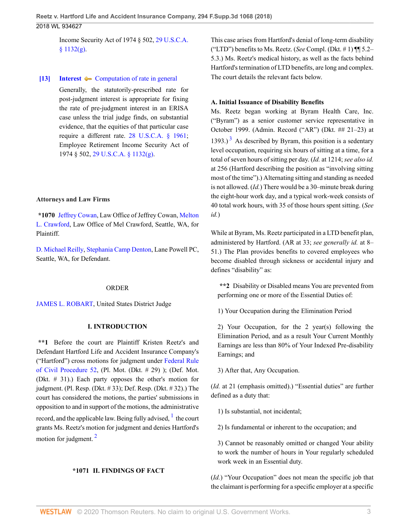Income Security Act of 1974 § 502, [29 U.S.C.A.](http://www.westlaw.com/Link/Document/FullText?findType=L&pubNum=1000546&cite=29USCAS1132&originatingDoc=Id4b79a80158b11e8b0f5f1ddd5677a94&refType=SP&originationContext=document&vr=3.0&rs=cblt1.0&transitionType=DocumentItem&contextData=(sc.UserEnteredCitation)#co_pp_16f4000091d86)  $§ 1132(g).$  $§ 1132(g).$ 

#### <span id="page-2-0"></span>**[\[13\]](#page-12-2) [Interest](http://www.westlaw.com/Browse/Home/KeyNumber/219/View.html?docGuid=Id4b79a80158b11e8b0f5f1ddd5677a94&originationContext=document&vr=3.0&rs=cblt1.0&transitionType=DocumentItem&contextData=(sc.UserEnteredCitation))**  $\bullet\bullet$  [Computation of rate in general](http://www.westlaw.com/Browse/Home/KeyNumber/219k31/View.html?docGuid=Id4b79a80158b11e8b0f5f1ddd5677a94&originationContext=document&vr=3.0&rs=cblt1.0&transitionType=DocumentItem&contextData=(sc.UserEnteredCitation))

Generally, the statutorily-prescribed rate for post-judgment interest is appropriate for fixing the rate of pre-judgment interest in an ERISA case unless the trial judge finds, on substantial evidence, that the equities of that particular case require a different rate. [28 U.S.C.A. § 1961;](http://www.westlaw.com/Link/Document/FullText?findType=L&pubNum=1000546&cite=28USCAS1961&originatingDoc=Id4b79a80158b11e8b0f5f1ddd5677a94&refType=LQ&originationContext=document&vr=3.0&rs=cblt1.0&transitionType=DocumentItem&contextData=(sc.UserEnteredCitation)) Employee Retirement Income Security Act of 1974 § 502, [29 U.S.C.A. § 1132\(g\).](http://www.westlaw.com/Link/Document/FullText?findType=L&pubNum=1000546&cite=29USCAS1132&originatingDoc=Id4b79a80158b11e8b0f5f1ddd5677a94&refType=SP&originationContext=document&vr=3.0&rs=cblt1.0&transitionType=DocumentItem&contextData=(sc.UserEnteredCitation)#co_pp_16f4000091d86)

### **Attorneys and Law Firms**

**\*1070** [Jeffrey Cowan,](http://www.westlaw.com/Link/Document/FullText?findType=h&pubNum=176284&cite=0286649801&originatingDoc=Id4b79a80158b11e8b0f5f1ddd5677a94&refType=RQ&originationContext=document&vr=3.0&rs=cblt1.0&transitionType=DocumentItem&contextData=(sc.UserEnteredCitation)) Law Office of Jeffrey Cowan, [Melton](http://www.westlaw.com/Link/Document/FullText?findType=h&pubNum=176284&cite=0168090501&originatingDoc=Id4b79a80158b11e8b0f5f1ddd5677a94&refType=RQ&originationContext=document&vr=3.0&rs=cblt1.0&transitionType=DocumentItem&contextData=(sc.UserEnteredCitation)) [L. Crawford,](http://www.westlaw.com/Link/Document/FullText?findType=h&pubNum=176284&cite=0168090501&originatingDoc=Id4b79a80158b11e8b0f5f1ddd5677a94&refType=RQ&originationContext=document&vr=3.0&rs=cblt1.0&transitionType=DocumentItem&contextData=(sc.UserEnteredCitation)) Law Office of Mel Crawford, Seattle, WA, for Plaintiff.

[D. Michael Reilly,](http://www.westlaw.com/Link/Document/FullText?findType=h&pubNum=176284&cite=0190733601&originatingDoc=Id4b79a80158b11e8b0f5f1ddd5677a94&refType=RQ&originationContext=document&vr=3.0&rs=cblt1.0&transitionType=DocumentItem&contextData=(sc.UserEnteredCitation)) [Stephania Camp Denton](http://www.westlaw.com/Link/Document/FullText?findType=h&pubNum=176284&cite=0207764101&originatingDoc=Id4b79a80158b11e8b0f5f1ddd5677a94&refType=RQ&originationContext=document&vr=3.0&rs=cblt1.0&transitionType=DocumentItem&contextData=(sc.UserEnteredCitation)), Lane Powell PC, Seattle, WA, for Defendant.

### ORDER

[JAMES L. ROBART](http://www.westlaw.com/Link/Document/FullText?findType=h&pubNum=176284&cite=0181380101&originatingDoc=Id4b79a80158b11e8b0f5f1ddd5677a94&refType=RQ&originationContext=document&vr=3.0&rs=cblt1.0&transitionType=DocumentItem&contextData=(sc.UserEnteredCitation)), United States District Judge

### **I. INTRODUCTION**

**\*\*1** Before the court are Plaintiff Kristen Reetz's and Defendant Hartford Life and Accident Insurance Company's ("Hartford") cross motions for judgment under [Federal Rule](http://www.westlaw.com/Link/Document/FullText?findType=L&pubNum=1000600&cite=USFRCPR52&originatingDoc=Id4b79a80158b11e8b0f5f1ddd5677a94&refType=LQ&originationContext=document&vr=3.0&rs=cblt1.0&transitionType=DocumentItem&contextData=(sc.UserEnteredCitation)) [of Civil Procedure 52,](http://www.westlaw.com/Link/Document/FullText?findType=L&pubNum=1000600&cite=USFRCPR52&originatingDoc=Id4b79a80158b11e8b0f5f1ddd5677a94&refType=LQ&originationContext=document&vr=3.0&rs=cblt1.0&transitionType=DocumentItem&contextData=(sc.UserEnteredCitation)) (Pl. Mot. (Dkt. # 29) ); (Def. Mot. (Dkt. # 31).) Each party opposes the other's motion for judgment. (Pl. Resp. (Dkt. # 33); Def. Resp. (Dkt. # 32).) The court has considered the motions, the parties' submissions in opposition to and in support of the motions, the administrative record, and the applicable law. Being fully advised, <sup>[1](#page-12-3)</sup> the court grants Ms. Reetz's motion for judgment and denies Hartford's motion for judgment.<sup>[2](#page-12-4)</sup>

### <span id="page-2-2"></span>**\*1071 II. FINDINGS OF FACT**

This case arises from Hartford's denial of long-term disability ("LTD") benefits to Ms. Reetz. (*See* Compl. (Dkt. # 1) ¶¶ 5.2– 5.3.) Ms. Reetz's medical history, as well as the facts behind Hartford's termination of LTD benefits, are long and complex. The court details the relevant facts below.

### **A. Initial Issuance of Disability Benefits**

<span id="page-2-3"></span>Ms. Reetz began working at Byram Health Care, Inc. ("Byram") as a senior customer service representative in October 1999. (Admin. Record ("AR") (Dkt. ## 21–23) at  $1393.$  $1393.$  $1393.$ )<sup>3</sup> As described by Byram, this position is a sedentary level occupation, requiring six hours of sitting at a time, for a total of seven hours of sitting per day. (*Id.* at 1214; *see also id.* at 256 (Hartford describing the position as "involving sitting most of the time").) Alternating sitting and standing as needed is not allowed. (*Id.*) There would be a 30–minute break during the eight-hour work day, and a typical work-week consists of 40 total work hours, with 35 of those hours spent sitting. (*See id.*)

While at Byram, Ms. Reetz participated in a LTD benefit plan, administered by Hartford. (AR at 33; *see generally id.* at 8– 51.) The Plan provides benefits to covered employees who become disabled through sickness or accidental injury and defines "disability" as:

**\*\*2** Disability or Disabled means You are prevented from performing one or more of the Essential Duties of:

1) Your Occupation during the Elimination Period

2) Your Occupation, for the 2 year(s) following the Elimination Period, and as a result Your Current Monthly Earnings are less than 80% of Your Indexed Pre-disability Earnings; and

3) After that, Any Occupation.

(*Id.* at 21 (emphasis omitted).) "Essential duties" are further defined as a duty that:

<span id="page-2-1"></span>1) Is substantial, not incidental;

2) Is fundamental or inherent to the occupation; and

3) Cannot be reasonably omitted or changed Your ability to work the number of hours in Your regularly scheduled work week in an Essential duty.

(*Id.*) "Your Occupation" does not mean the specific job that the claimant is performing for a specific employer at a specific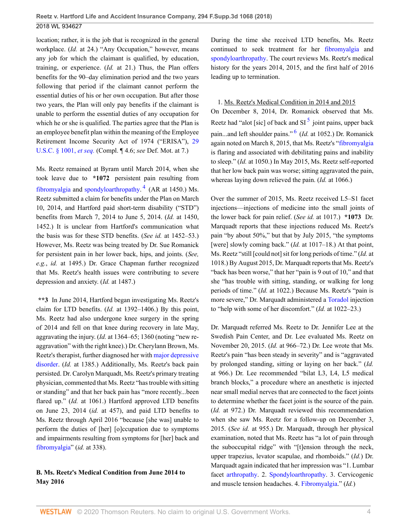location; rather, it is the job that is recognized in the general workplace. (*Id.* at 24.) "Any Occupation," however, means any job for which the claimant is qualified, by education, training, or experience. (*Id.* at 21.) Thus, the Plan offers benefits for the 90–day elimination period and the two years following that period if the claimant cannot perform the essential duties of his or her own occupation. But after those two years, the Plan will only pay benefits if the claimant is unable to perform the essential duties of any occupation for which he or she is qualified. The parties agree that the Plan is an employee benefit plan within the meaning of the Employee Retirement Income Security Act of 1974 ("ERISA"), [29](http://www.westlaw.com/Link/Document/FullText?findType=L&pubNum=1000546&cite=29USCAS1001&originatingDoc=Id4b79a80158b11e8b0f5f1ddd5677a94&refType=LQ&originationContext=document&vr=3.0&rs=cblt1.0&transitionType=DocumentItem&contextData=(sc.UserEnteredCitation)) [U.S.C. § 1001,](http://www.westlaw.com/Link/Document/FullText?findType=L&pubNum=1000546&cite=29USCAS1001&originatingDoc=Id4b79a80158b11e8b0f5f1ddd5677a94&refType=LQ&originationContext=document&vr=3.0&rs=cblt1.0&transitionType=DocumentItem&contextData=(sc.UserEnteredCitation)) *et seq.* (Compl. ¶ 4.6; *see* Def. Mot. at 7.)

Ms. Reetz remained at Byram until March 2014, when she took leave due to **\*1072** persistent pain resulting from [fibromyalgia](http://www.westlaw.com/Link/Document/FullText?entityType=disease&entityId=Ic21f0856475411db9765f9243f53508a&originationContext=document&transitionType=DocumentItem&contextData=(sc.Default)&vr=3.0&rs=cblt1.0) and [spondyloarthropathy.](http://www.westlaw.com/Link/Document/FullText?entityType=disease&entityId=Ibe3ff8f0475411db9765f9243f53508a&originationContext=document&transitionType=DocumentItem&contextData=(sc.Default)&vr=3.0&rs=cblt1.0)<sup>[4](#page-13-1)</sup> (AR at 1450.) Ms. Reetz submitted a claim for benefits under the Plan on March 10, 2014, and Hartford paid short-term disability ("STD") benefits from March 7, 2014 to June 5, 2014. (*Id.* at 1450, 1452.) It is unclear from Hartford's communication what the basis was for these STD benefits. (*See id.* at 1452–53.) However, Ms. Reetz was being treated by Dr. Sue Romanick for persistent pain in her lower back, hips, and joints. (*See, e.g.*, *id.* at 1495.) Dr. Grace Chapman further recognized that Ms. Reetz's health issues were contributing to severe depression and anxiety. (*Id.* at 1487.)

**\*\*3** In June 2014, Hartford began investigating Ms. Reetz's claim for LTD benefits. (*Id.* at 1392–1406.) By this point, Ms. Reetz had also undergone knee surgery in the spring of 2014 and fell on that knee during recovery in late May, aggravating the injury. (*Id.* at 1364–65; 1360 (noting "new reaggravation" with the right knee).) Dr. Cherylann Brown, Ms. Reetz's therapist, further diagnosed her with [major depressive](http://www.westlaw.com/Link/Document/FullText?entityType=disease&entityId=Ib7c7c836475411db9765f9243f53508a&originationContext=document&transitionType=DocumentItem&contextData=(sc.Default)&vr=3.0&rs=cblt1.0) [disorder.](http://www.westlaw.com/Link/Document/FullText?entityType=disease&entityId=Ib7c7c836475411db9765f9243f53508a&originationContext=document&transitionType=DocumentItem&contextData=(sc.Default)&vr=3.0&rs=cblt1.0) (*Id.* at 1385.) Additionally, Ms. Reetz's back pain persisted. Dr. Carolyn Marquadt, Ms. Reetz's primary treating physician, commented that Ms. Reetz "has trouble with sitting or standing" and that her back pain has "more recently...been flared up." (*Id.* at 1061.) Hartford approved LTD benefits on June 23, 2014 (*id.* at 457), and paid LTD benefits to Ms. Reetz through April 2016 "because [she was] unable to perform the duties of [her] [o]ccupation due to symptoms and impairments resulting from symptoms for [her] back and [fibromyalgia"](http://www.westlaw.com/Link/Document/FullText?entityType=disease&entityId=Ic21f0856475411db9765f9243f53508a&originationContext=document&transitionType=DocumentItem&contextData=(sc.Default)&vr=3.0&rs=cblt1.0) (*id.* at 338).

## **B. Ms. Reetz's Medical Condition from June 2014 to May 2016**

During the time she received LTD benefits, Ms. Reetz continued to seek treatment for her [fibromyalgia](http://www.westlaw.com/Link/Document/FullText?entityType=disease&entityId=Ic21f0856475411db9765f9243f53508a&originationContext=document&transitionType=DocumentItem&contextData=(sc.Default)&vr=3.0&rs=cblt1.0) and [spondyloarthropathy.](http://www.westlaw.com/Link/Document/FullText?entityType=disease&entityId=Ibe3ff8f0475411db9765f9243f53508a&originationContext=document&transitionType=DocumentItem&contextData=(sc.Default)&vr=3.0&rs=cblt1.0) The court reviews Ms. Reetz's medical history for the years 2014, 2015, and the first half of 2016 leading up to termination.

## <span id="page-3-2"></span><span id="page-3-1"></span>1. Ms. Reetz's Medical Condition in 2014 and 2015

On December 8, 2014, Dr. Romanick observed that Ms. Reetz had "alot [sic] of back and  $SI^5$  $SI^5$  joint pains, upper back pain...and left shoulder pains." [6](#page-13-3) (*Id.* at 1052.) Dr. Romanick again noted on March 8, 2015, that Ms. Reetz's ["fibromyalgia](http://www.westlaw.com/Link/Document/FullText?entityType=disease&entityId=Ic21f0856475411db9765f9243f53508a&originationContext=document&transitionType=DocumentItem&contextData=(sc.Default)&vr=3.0&rs=cblt1.0) is flaring and associated with debilitating pains and inability to sleep." (*Id.* at 1050.) In May 2015, Ms. Reetz self-reported that her low back pain was worse; sitting aggravated the pain, whereas laying down relieved the pain. (*Id.* at 1066.)

<span id="page-3-0"></span>Over the summer of 2015, Ms. Reetz received L5–S1 facet injections—injections of medicine into the small joints of the lower back for pain relief. (*See id.* at 1017.) **\*1073** Dr. Marquadt reports that these injections reduced Ms. Reetz's pain "by about 50%," but that by July 2015, "the symptoms [were] slowly coming back." (*Id.* at 1017–18.) At that point, Ms. Reetz "still [could not] sit for long periods of time." (*Id.* at 1018.) By August 2015, Dr. Marquadt reports that Ms. Reetz's "back has been worse," that her "pain is 9 out of 10," and that she "has trouble with sitting, standing, or walking for long periods of time." (*Id.* at 1022.) Because Ms. Reetz's "pain is more severe," Dr. Marquadt administered a [Toradol](http://www.westlaw.com/Link/Document/FullText?entityType=bdrug&entityId=I39b35aa4475111db9765f9243f53508a&originationContext=document&transitionType=DocumentItem&contextData=(sc.Default)&vr=3.0&rs=cblt1.0) injection to "help with some of her discomfort." (*Id.* at 1022–23.)

Dr. Marquadt referred Ms. Reetz to Dr. Jennifer Lee at the Swedish Pain Center, and Dr. Lee evaluated Ms. Reetz on November 20, 2015. (*Id.* at 966–72.) Dr. Lee wrote that Ms. Reetz's pain "has been steady in severity" and is "aggravated by prolonged standing, sitting or laying on her back." (*Id.* at 966.) Dr. Lee recommended "bilat L3, L4, L5 medical branch blocks," a procedure where an anesthetic is injected near small medial nerves that are connected to the facet joints to determine whether the facet joint is the source of the pain. (*Id.* at 972.) Dr. Marquadt reviewed this recommendation when she saw Ms. Reetz for a follow-up on December 3, 2015. (*See id.* at 955.) Dr. Marquadt, through her physical examination, noted that Ms. Reetz has "a lot of pain through the suboccupital ridge" with "[t]ension through the neck, upper trapezius, levator scapulae, and rhomboids." (*Id.*) Dr. Marquadt again indicated that her impression was "1. Lumbar facet [arthropathy](http://www.westlaw.com/Link/Document/FullText?entityType=disease&entityId=Ic63ad1fd475411db9765f9243f53508a&originationContext=document&transitionType=DocumentItem&contextData=(sc.Default)&vr=3.0&rs=cblt1.0). 2. [Spondyloarthropathy.](http://www.westlaw.com/Link/Document/FullText?entityType=disease&entityId=Ibe3ff8f0475411db9765f9243f53508a&originationContext=document&transitionType=DocumentItem&contextData=(sc.Default)&vr=3.0&rs=cblt1.0) 3. Cervicogenic and muscle tension headaches. 4. [Fibromyalgia.](http://www.westlaw.com/Link/Document/FullText?entityType=disease&entityId=Ic21f0856475411db9765f9243f53508a&originationContext=document&transitionType=DocumentItem&contextData=(sc.Default)&vr=3.0&rs=cblt1.0)" (*Id.*)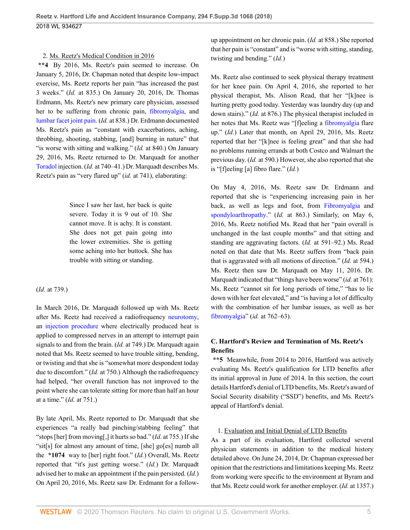### 2. Ms. Reetz's Medical Condition in 2016

**\*\*4** By 2016, Ms. Reetz's pain seemed to increase. On January 5, 2016, Dr. Chapman noted that despite low-impact exercise, Ms. Reetz reports her pain "has increased the past 3 weeks." (*Id.* at 835.) On January 20, 2016, Dr. Thomas Erdmann, Ms. Reetz's new primary care physician, assessed her to be suffering from chronic pain, [fibromyalgia](http://www.westlaw.com/Link/Document/FullText?entityType=disease&entityId=Ic21f0856475411db9765f9243f53508a&originationContext=document&transitionType=DocumentItem&contextData=(sc.Default)&vr=3.0&rs=cblt1.0), and [lumbar facet joint pain.](http://www.westlaw.com/Link/Document/FullText?entityType=disease&entityId=I710dd5a8995711de9b8c850332338889&originationContext=document&transitionType=DocumentItem&contextData=(sc.Default)&vr=3.0&rs=cblt1.0) (*Id.* at 838.) Dr. Erdmann documented Ms. Reetz's pain as "constant with exacerbations, aching, throbbing, shooting, stabbing, [and] burning in nature" that "is worse with sitting and walking." (*Id.* at 840.) On January 29, 2016, Ms. Reetz returned to Dr. Marquadt for another [Toradol](http://www.westlaw.com/Link/Document/FullText?entityType=bdrug&entityId=I39b35aa4475111db9765f9243f53508a&originationContext=document&transitionType=DocumentItem&contextData=(sc.Default)&vr=3.0&rs=cblt1.0) injection. (*Id.* at 740–41.) Dr. Marquadt describes Ms. Reetz's pain as "very flared up" (*id.* at 741), elaborating:

> Since I saw her last, her back is quite severe. Today it is 9 out of 10. She cannot move. It is achy. It is constant. She does not get pain going into the lower extremities. She is getting some aching into her buttock. She has trouble with sitting or standing.

### (*Id.* at 739.)

In March 2016, Dr. Marquadt followed up with Ms. Reetz after Ms. Reetz had received a radiofrequency [neurotomy](http://www.westlaw.com/Link/Document/FullText?entityType=mproc&entityId=Ic30485b8475411db9765f9243f53508a&originationContext=document&transitionType=DocumentItem&contextData=(sc.Default)&vr=3.0&rs=cblt1.0), an [injection procedure](http://www.westlaw.com/Link/Document/FullText?entityType=mproc&entityId=Iacc63fcb475411db9765f9243f53508a&originationContext=document&transitionType=DocumentItem&contextData=(sc.Default)&vr=3.0&rs=cblt1.0) where electrically produced heat is applied to compressed nerves in an attempt to interrupt pain signals to and from the brain. (*Id.* at 749.) Dr. Marquadt again noted that Ms. Reetz seemed to have trouble sitting, bending, or twisting and that she is "somewhat more despondent today due to discomfort." (*Id.* at 750.) Although the radiofrequency had helped, "her overall function has not improved to the point where she can tolerate sitting for more than half an hour at a time." (*Id.* at 751.)

By late April, Ms. Reetz reported to Dr. Marquadt that she experiences "a really bad pinching/stabbing feeling" that "stops [her] from moving[,] it hurts so bad." (*Id.* at 755.) If she "sit[s] for almost any amount of time, [she] go[es] numb all the **\*1074** way to [her] right foot." (*Id.*) Overall, Ms. Reetz reported that "it's just getting worse." (*Id.*) Dr. Marquadt advised her to make an appointment if the pain persisted. (*Id.*) On April 20, 2016, Ms. Reetz saw Dr. Erdmann for a followup appointment on her chronic pain. (*Id.* at 858.) She reported that her pain is "constant" and is "worse with sitting, standing, twisting and bending." (*Id.*)

Ms. Reetz also continued to seek physical therapy treatment for her knee pain. On April 4, 2016, she reported to her physical therapist, Ms. Alison Read, that her "[k]nee is hurting pretty good today. Yesterday was laundry day (up and down stairs)." (*Id.* at 876.) The physical therapist included in her notes that Ms. Reetz was "[f]eeling a [fibromyalgia](http://www.westlaw.com/Link/Document/FullText?entityType=disease&entityId=Ic21f0856475411db9765f9243f53508a&originationContext=document&transitionType=DocumentItem&contextData=(sc.Default)&vr=3.0&rs=cblt1.0) flare up." (*Id.*) Later that month, on April 29, 2016, Ms. Reetz reported that her "[k]nee is feeling great" and that she had no problems running errands at both Costco and Walmart the previous day. (*Id.* at 590.) However, she also reported that she is "[f]eeling [a] fibro flare." (*Id.*)

On May 4, 2016, Ms. Reetz saw Dr. Erdmann and reported that she is "experiencing increasing pain in her back, as well as legs and foot, from [Fibromyalgia](http://www.westlaw.com/Link/Document/FullText?entityType=disease&entityId=Ic21f0856475411db9765f9243f53508a&originationContext=document&transitionType=DocumentItem&contextData=(sc.Default)&vr=3.0&rs=cblt1.0) and [spondyloarthropathy.](http://www.westlaw.com/Link/Document/FullText?entityType=disease&entityId=Ibe3ff8f0475411db9765f9243f53508a&originationContext=document&transitionType=DocumentItem&contextData=(sc.Default)&vr=3.0&rs=cblt1.0)" *(Id.* at 863.) Similarly, on May 6, 2016, Ms. Reetz notified Ms. Read that her "pain overall is unchanged in the last couple months" and that sitting and standing are aggravating factors. (*Id.* at 591–92.) Ms. Read noted on that date that Ms. Reetz suffers from "back pain that is aggravated with all motions of direction." (*Id.* at 594.) Ms. Reetz then saw Dr. Marquadt on May 11, 2016. Dr. Marquadt indicated that "things have been worse" (*id.* at 761): Ms. Reetz "cannot sit for long periods of time," "has to lie down with her feet elevated," and "is having a lot of difficulty with the combination of her lumbar issues, as well as her [fibromyalgia"](http://www.westlaw.com/Link/Document/FullText?entityType=disease&entityId=Ic21f0856475411db9765f9243f53508a&originationContext=document&transitionType=DocumentItem&contextData=(sc.Default)&vr=3.0&rs=cblt1.0) (*id.* at 762–63).

# **C. Hartford's Review and Termination of Ms. Reetz's Benefits**

**\*\*5** Meanwhile, from 2014 to 2016, Hartford was actively evaluating Ms. Reetz's qualification for LTD benefits after its initial approval in June of 2014. In this section, the court details Hartford's denial of LTD benefits, Ms. Reetz's award of Social Security disability ("SSD") benefits, and Ms. Reetz's appeal of Hartford's denial.

## 1. Evaluation and Initial Denial of LTD Benefits

As a part of its evaluation, Hartford collected several physician statements in addition to the medical history detailed above. On June 24, 2014, Dr. Chapman expressed her opinion that the restrictions and limitations keeping Ms. Reetz from working were specific to the environment at Byram and that Ms. Reetz could work for another employer. (*Id.* at 1357.)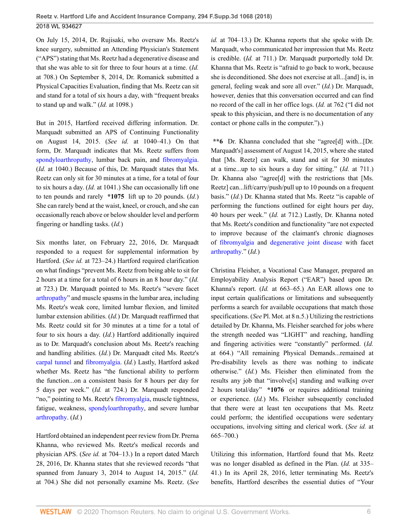On July 15, 2014, Dr. Rujisaki, who oversaw Ms. Reetz's knee surgery, submitted an Attending Physician's Statement ("APS") stating that Ms. Reetz had a degenerative disease and that she was able to sit for three to four hours at a time. (*Id.* at 708.) On September 8, 2014, Dr. Romanick submitted a Physical Capacities Evaluation, finding that Ms. Reetz can sit and stand for a total of six hours a day, with "frequent breaks to stand up and walk." (*Id.* at 1098.)

But in 2015, Hartford received differing information. Dr. Marquadt submitted an APS of Continuing Functionality on August 14, 2015. (*See id.* at 1040–41.) On that form, Dr. Marquadt indicates that Ms. Reetz suffers from [spondyloarthropathy,](http://www.westlaw.com/Link/Document/FullText?entityType=disease&entityId=Ibe3ff8f0475411db9765f9243f53508a&originationContext=document&transitionType=DocumentItem&contextData=(sc.Default)&vr=3.0&rs=cblt1.0) lumbar back pain, and [fibromyalgia](http://www.westlaw.com/Link/Document/FullText?entityType=disease&entityId=Ic21f0856475411db9765f9243f53508a&originationContext=document&transitionType=DocumentItem&contextData=(sc.Default)&vr=3.0&rs=cblt1.0). (*Id.* at 1040.) Because of this, Dr. Marquadt states that Ms. Reetz can only sit for 30 minutes at a time, for a total of four to six hours a day. (*Id.* at 1041.) She can occasionally lift one to ten pounds and rarely **\*1075** lift up to 20 pounds. (*Id.*) She can rarely bend at the waist, kneel, or crouch, and she can occasionally reach above or below shoulder level and perform fingering or handling tasks. (*Id.*)

Six months later, on February 22, 2016, Dr. Marquadt responded to a request for supplemental information by Hartford. (*See id.* at 723–24.) Hartford required clarification on what findings "prevent Ms. Reetz from being able to sit for 2 hours at a time for a total of 6 hours in an 8 hour day." (*Id.* at 723.) Dr. Marquadt pointed to Ms. Reetz's "severe facet [arthropathy](http://www.westlaw.com/Link/Document/FullText?entityType=disease&entityId=Ic63ad1fd475411db9765f9243f53508a&originationContext=document&transitionType=DocumentItem&contextData=(sc.Default)&vr=3.0&rs=cblt1.0)" and muscle spasms in the lumbar area, including Ms. Reetz's weak core, limited lumbar flexion, and limited lumbar extension abilities. (*Id.*) Dr. Marquadt reaffirmed that Ms. Reetz could sit for 30 minutes at a time for a total of four to six hours a day. (*Id.*) Hartford additionally inquired as to Dr. Marquadt's conclusion about Ms. Reetz's reaching and handling abilities. (*Id.*) Dr. Marquadt cited Ms. Reetz's [carpal tunnel](http://www.westlaw.com/Link/Document/FullText?entityType=disease&entityId=Ic8ede3c4475411db9765f9243f53508a&originationContext=document&transitionType=DocumentItem&contextData=(sc.Default)&vr=3.0&rs=cblt1.0) and [fibromyalgia.](http://www.westlaw.com/Link/Document/FullText?entityType=disease&entityId=Ic21f0856475411db9765f9243f53508a&originationContext=document&transitionType=DocumentItem&contextData=(sc.Default)&vr=3.0&rs=cblt1.0) (*Id.*) Lastly, Hartford asked whether Ms. Reetz has "the functional ability to perform the function...on a consistent basis for 8 hours per day for 5 days per week." (*Id.* at 724.) Dr. Marquadt responded "no," pointing to Ms. Reetz's [fibromyalgia](http://www.westlaw.com/Link/Document/FullText?entityType=disease&entityId=Ic21f0856475411db9765f9243f53508a&originationContext=document&transitionType=DocumentItem&contextData=(sc.Default)&vr=3.0&rs=cblt1.0), muscle tightness, fatigue, weakness, [spondyloarthropathy](http://www.westlaw.com/Link/Document/FullText?entityType=disease&entityId=Ibe3ff8f0475411db9765f9243f53508a&originationContext=document&transitionType=DocumentItem&contextData=(sc.Default)&vr=3.0&rs=cblt1.0), and severe lumbar [arthropathy](http://www.westlaw.com/Link/Document/FullText?entityType=disease&entityId=Ic63ad1fd475411db9765f9243f53508a&originationContext=document&transitionType=DocumentItem&contextData=(sc.Default)&vr=3.0&rs=cblt1.0). (*Id.*)

Hartford obtained an independent peer review from Dr. Prerna Khanna, who reviewed Ms. Reetz's medical records and physician APS. (*See id.* at 704–13.) In a report dated March 28, 2016, Dr. Khanna states that she reviewed records "that spanned from January 3, 2014 to August 14, 2015." (*Id.* at 704.) She did not personally examine Ms. Reetz. (*See* *id.* at 704–13.) Dr. Khanna reports that she spoke with Dr. Marquadt, who communicated her impression that Ms. Reetz is credible. (*Id.* at 711.) Dr. Marquadt purportedly told Dr. Khanna that Ms. Reetz is "afraid to go back to work, because she is deconditioned. She does not exercise at all...[and] is, in general, feeling weak and sore all over." (*Id.*) Dr. Marquadt, however, denies that this conversation occurred and can find no record of the call in her office logs. (*Id.* at 762 ("I did not speak to this physician, and there is no documentation of any contact or phone calls in the computer.").)

**\*\*6** Dr. Khanna concluded that she "agree[d] with...[Dr. Marquadt's] assessment of August 14, 2015, where she stated that [Ms. Reetz] can walk, stand and sit for 30 minutes at a time...up to six hours a day for sitting." (*Id.* at 711.) Dr. Khanna also "agree<sup>[d]</sup> with the restrictions that [Ms.] Reetz] can...lift/carry/push/pull up to 10 pounds on a frequent basis." (*Id.*) Dr. Khanna stated that Ms. Reetz "is capable of performing the functions outlined for eight hours per day, 40 hours per week." (*Id.* at 712.) Lastly, Dr. Khanna noted that Ms. Reetz's condition and functionality "are not expected to improve because of the claimant's chronic diagnoses of [fibromyalgia](http://www.westlaw.com/Link/Document/FullText?entityType=disease&entityId=Ic21f0856475411db9765f9243f53508a&originationContext=document&transitionType=DocumentItem&contextData=(sc.Default)&vr=3.0&rs=cblt1.0) and [degenerative joint disease](http://www.westlaw.com/Link/Document/FullText?entityType=disease&entityId=Ibf43d470475411db9765f9243f53508a&originationContext=document&transitionType=DocumentItem&contextData=(sc.Default)&vr=3.0&rs=cblt1.0) with facet [arthropathy](http://www.westlaw.com/Link/Document/FullText?entityType=disease&entityId=Ic63ad1fd475411db9765f9243f53508a&originationContext=document&transitionType=DocumentItem&contextData=(sc.Default)&vr=3.0&rs=cblt1.0)." (*Id.*)

Christina Fleisher, a Vocational Case Manager, prepared an Employability Analysis Report ("EAR") based upon Dr. Khanna's report. (*Id.* at 663–65.) An EAR allows one to input certain qualifications or limitations and subsequently performs a search for available occupations that match those specifications. (*See* Pl. Mot. at 8 n.5.) Utilizing the restrictions detailed by Dr. Khanna, Ms. Fleisher searched for jobs where the strength needed was "LIGHT" and reaching, handling and fingering activities were "constantly" performed. (*Id.* at 664.) "All remaining Physical Demands...remained at Pre-disability levels as there was nothing to indicate otherwise." (*Id.*) Ms. Fleisher then eliminated from the results any job that "involve[s] standing and walking over 2 hours total/day" **\*1076** or requires additional training or experience. (*Id.*) Ms. Fleisher subsequently concluded that there were at least ten occupations that Ms. Reetz could perform; the identified occupations were sedentary occupations, involving sitting and clerical work. (*See id.* at 665–700.)

Utilizing this information, Hartford found that Ms. Reetz was no longer disabled as defined in the Plan. (*Id.* at 335– 41.) In its April 28, 2016, letter terminating Ms. Reetz's benefits, Hartford describes the essential duties of "Your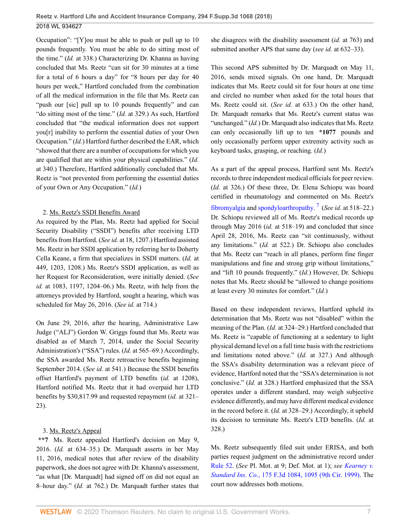Occupation": "[Y]ou must be able to push or pull up to 10 pounds frequently. You must be able to do sitting most of the time." (*Id.* at 338.) Characterizing Dr. Khanna as having concluded that Ms. Reetz "can sit for 30 minutes at a time for a total of 6 hours a day" for "8 hours per day for 40 hours per week," Hartford concluded from the combination of all the medical information in the file that Ms. Reetz can "push our [sic] pull up to 10 pounds frequently" and can "do sitting most of the time." (*Id.* at 329.) As such, Hartford concluded that "the medical information does not support you[r] inability to perform the essential duties of your Own Occupation." (*Id.*) Hartford further described the EAR, which "showed that there are a number of occupations for which you are qualified that are within your physical capabilities." (*Id.* at 340.) Therefore, Hartford additionally concluded that Ms. Reetz is "not prevented from performing the essential duties of your Own or Any Occupation." (*Id.*)

### 2. Ms. Reetz's SSDI Benefits Award

As required by the Plan, Ms. Reetz had applied for Social Security Disability ("SSDI") benefits after receiving LTD benefits from Hartford. (*See id.* at 18, 1207.) Hartford assisted Ms. Reetz in her SSDI application by referring her to Doherty Cella Keane, a firm that specializes in SSDI matters. (*Id.* at 449, 1203, 1208.) Ms. Reetz's SSDI application, as well as her Request for Reconsideration, were initially denied. (*See id.* at 1083, 1197, 1204–06.) Ms. Reetz, with help from the attorneys provided by Hartford, sought a hearing, which was scheduled for May 26, 2016. (*See id.* at 714.)

On June 29, 2016, after the hearing, Administrative Law Judge ("ALJ") Gordon W. Griggs found that Ms. Reetz was disabled as of March 7, 2014, under the Social Security Administration's ("SSA") rules. (*Id.* at 565–69.) Accordingly, the SSA awarded Ms. Reetz retroactive benefits beginning September 2014. (*See id.* at 541.) Because the SSDI benefits offset Hartford's payment of LTD benefits (*id.* at 1208), Hartford notified Ms. Reetz that it had overpaid her LTD benefits by \$30,817.99 and requested repayment (*id.* at 321– 23).

## 3. Ms. Reetz's Appeal

**\*\*7** Ms. Reetz appealed Hartford's decision on May 9, 2016. (*Id.* at 634–35.) Dr. Marquadt asserts in her May 11, 2016, medical notes that after review of the disability paperwork, she does not agree with Dr. Khanna's assessment, "as what [Dr. Marquadt] had signed off on did not equal an 8–hour day." (*Id.* at 762.) Dr. Marquadt further states that she disagrees with the disability assessment (*id.* at 763) and submitted another APS that same day (*see id.* at 632–33).

This second APS submitted by Dr. Marquadt on May 11, 2016, sends mixed signals. On one hand, Dr. Marquadt indicates that Ms. Reetz could sit for four hours at one time and circled no number when asked for the total hours that Ms. Reetz could sit. (*See id.* at 633.) On the other hand, Dr. Marquadt remarks that Ms. Reetz's current status was "unchanged." (*Id.*) Dr. Marquadt also indicates that Ms. Reetz can only occasionally lift up to ten **\*1077** pounds and only occasionally perform upper extremity activity such as keyboard tasks, grasping, or reaching. (*Id.*)

<span id="page-6-0"></span>As a part of the appeal process, Hartford sent Ms. Reetz's records to three independent medical officials for peer review. (*Id.* at 326.) Of these three, Dr. Elena Schiopu was board certified in rheumatology and commented on Ms. Reetz's [fibromyalgia](http://www.westlaw.com/Link/Document/FullText?entityType=disease&entityId=Ic21f0856475411db9765f9243f53508a&originationContext=document&transitionType=DocumentItem&contextData=(sc.Default)&vr=3.0&rs=cblt1.0) and [spondyloarthropathy](http://www.westlaw.com/Link/Document/FullText?entityType=disease&entityId=Ibe3ff8f0475411db9765f9243f53508a&originationContext=document&transitionType=DocumentItem&contextData=(sc.Default)&vr=3.0&rs=cblt1.0). [7](#page-13-4) (*See id.* at 518–22.) Dr. Schiopu reviewed all of Ms. Reetz's medical records up through May 2016 (*id.* at 518–19) and concluded that since April 28, 2016, Ms. Reetz can "sit continuously, without any limitations." (*Id.* at 522.) Dr. Schiopu also concludes that Ms. Reetz can "reach in all planes, perform fine finger manipulations and fine and strong grip without limitations," and "lift 10 pounds frequently." (*Id.*) However, Dr. Schiopu notes that Ms. Reetz should be "allowed to change positions at least every 30 minutes for comfort." (*Id.*)

Based on these independent reviews, Hartford upheld its determination that Ms. Reetz was not "disabled" within the meaning of the Plan. (*Id.* at 324–29.) Hartford concluded that Ms. Reetz is "capable of functioning at a sedentary to light physical demand level on a full time basis with the restrictions and limitations noted above." (*Id.* at 327.) And although the SSA's disability determination was a relevant piece of evidence, Hartford noted that the "SSA's determination is not conclusive." (*Id.* at 328.) Hartford emphasized that the SSA operates under a different standard, may weigh subjective evidence differently, and may have different medical evidence in the record before it. (*Id.* at 328–29.) Accordingly, it upheld its decision to terminate Ms. Reetz's LTD benefits. (*Id.* at 328.)

Ms. Reetz subsequently filed suit under ERISA, and both parties request judgment on the administrative record under [Rule 52](http://www.westlaw.com/Link/Document/FullText?findType=L&pubNum=1000600&cite=USFRCPR52&originatingDoc=Id4b79a80158b11e8b0f5f1ddd5677a94&refType=LQ&originationContext=document&vr=3.0&rs=cblt1.0&transitionType=DocumentItem&contextData=(sc.UserEnteredCitation)). (*See* Pl. Mot. at 9; Def. Mot. at 1); *see [Kearney v.](http://www.westlaw.com/Link/Document/FullText?findType=Y&serNum=1999110922&pubNum=0000506&originatingDoc=Id4b79a80158b11e8b0f5f1ddd5677a94&refType=RP&fi=co_pp_sp_506_1095&originationContext=document&vr=3.0&rs=cblt1.0&transitionType=DocumentItem&contextData=(sc.UserEnteredCitation)#co_pp_sp_506_1095) Standard Ins. Co.*[, 175 F.3d 1084, 1095 \(9th Cir. 1999\)](http://www.westlaw.com/Link/Document/FullText?findType=Y&serNum=1999110922&pubNum=0000506&originatingDoc=Id4b79a80158b11e8b0f5f1ddd5677a94&refType=RP&fi=co_pp_sp_506_1095&originationContext=document&vr=3.0&rs=cblt1.0&transitionType=DocumentItem&contextData=(sc.UserEnteredCitation)#co_pp_sp_506_1095). The court now addresses both motions.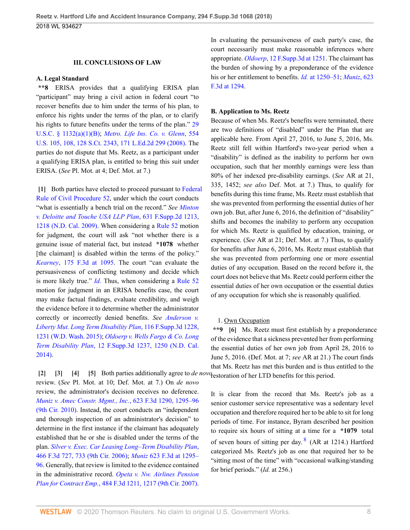#### **III. CONCLUSIONS OF LAW**

#### **A. Legal Standard**

**\*\*8** ERISA provides that a qualifying ERISA plan "participant" may bring a civil action in federal court "to recover benefits due to him under the terms of his plan, to enforce his rights under the terms of the plan, or to clarify his rights to future benefits under the terms of the plan." [29](http://www.westlaw.com/Link/Document/FullText?findType=L&pubNum=1000546&cite=29USCAS1132&originatingDoc=Id4b79a80158b11e8b0f5f1ddd5677a94&refType=RB&originationContext=document&vr=3.0&rs=cblt1.0&transitionType=DocumentItem&contextData=(sc.UserEnteredCitation)#co_pp_50660000823d1) [U.S.C. § 1132\(a\)\(1\)\(B\)](http://www.westlaw.com/Link/Document/FullText?findType=L&pubNum=1000546&cite=29USCAS1132&originatingDoc=Id4b79a80158b11e8b0f5f1ddd5677a94&refType=RB&originationContext=document&vr=3.0&rs=cblt1.0&transitionType=DocumentItem&contextData=(sc.UserEnteredCitation)#co_pp_50660000823d1); *[Metro. Life Ins. Co. v. Glenn](http://www.westlaw.com/Link/Document/FullText?findType=Y&serNum=2016336257&pubNum=0000780&originatingDoc=Id4b79a80158b11e8b0f5f1ddd5677a94&refType=RP&fi=co_pp_sp_780_108&originationContext=document&vr=3.0&rs=cblt1.0&transitionType=DocumentItem&contextData=(sc.UserEnteredCitation)#co_pp_sp_780_108)*, 554 [U.S. 105, 108, 128 S.Ct. 2343, 171 L.Ed.2d 299 \(2008\)](http://www.westlaw.com/Link/Document/FullText?findType=Y&serNum=2016336257&pubNum=0000780&originatingDoc=Id4b79a80158b11e8b0f5f1ddd5677a94&refType=RP&fi=co_pp_sp_780_108&originationContext=document&vr=3.0&rs=cblt1.0&transitionType=DocumentItem&contextData=(sc.UserEnteredCitation)#co_pp_sp_780_108). The parties do not dispute that Ms. Reetz, as a participant under a qualifying ERISA plan, is entitled to bring this suit under ERISA. (*See* Pl. Mot. at 4; Def. Mot. at 7.)

<span id="page-7-0"></span>**[\[1\]](#page-0-1)** Both parties have elected to proceed pursuant to [Federal](http://www.westlaw.com/Link/Document/FullText?findType=L&pubNum=1000600&cite=USFRCPR52&originatingDoc=Id4b79a80158b11e8b0f5f1ddd5677a94&refType=LQ&originationContext=document&vr=3.0&rs=cblt1.0&transitionType=DocumentItem&contextData=(sc.UserEnteredCitation)) [Rule of Civil Procedure 52,](http://www.westlaw.com/Link/Document/FullText?findType=L&pubNum=1000600&cite=USFRCPR52&originatingDoc=Id4b79a80158b11e8b0f5f1ddd5677a94&refType=LQ&originationContext=document&vr=3.0&rs=cblt1.0&transitionType=DocumentItem&contextData=(sc.UserEnteredCitation)) under which the court conducts "what is essentially a bench trial on the record." *See [Minton](http://www.westlaw.com/Link/Document/FullText?findType=Y&serNum=2019091012&pubNum=0004637&originatingDoc=Id4b79a80158b11e8b0f5f1ddd5677a94&refType=RP&fi=co_pp_sp_4637_1218&originationContext=document&vr=3.0&rs=cblt1.0&transitionType=DocumentItem&contextData=(sc.UserEnteredCitation)#co_pp_sp_4637_1218) [v. Deloitte and Touche USA LLP Plan](http://www.westlaw.com/Link/Document/FullText?findType=Y&serNum=2019091012&pubNum=0004637&originatingDoc=Id4b79a80158b11e8b0f5f1ddd5677a94&refType=RP&fi=co_pp_sp_4637_1218&originationContext=document&vr=3.0&rs=cblt1.0&transitionType=DocumentItem&contextData=(sc.UserEnteredCitation)#co_pp_sp_4637_1218)*, 631 F.Supp.2d 1213, [1218 \(N.D. Cal. 2009\)](http://www.westlaw.com/Link/Document/FullText?findType=Y&serNum=2019091012&pubNum=0004637&originatingDoc=Id4b79a80158b11e8b0f5f1ddd5677a94&refType=RP&fi=co_pp_sp_4637_1218&originationContext=document&vr=3.0&rs=cblt1.0&transitionType=DocumentItem&contextData=(sc.UserEnteredCitation)#co_pp_sp_4637_1218). When considering a [Rule 52](http://www.westlaw.com/Link/Document/FullText?findType=L&pubNum=1000600&cite=USFRCPR52&originatingDoc=Id4b79a80158b11e8b0f5f1ddd5677a94&refType=LQ&originationContext=document&vr=3.0&rs=cblt1.0&transitionType=DocumentItem&contextData=(sc.UserEnteredCitation)) motion for judgment, the court will ask "not whether there is a genuine issue of material fact, but instead **\*1078** whether [the claimant] is disabled within the terms of the policy." *Kearney*[, 175 F.3d at 1095.](http://www.westlaw.com/Link/Document/FullText?findType=Y&serNum=1999110922&pubNum=0000506&originatingDoc=Id4b79a80158b11e8b0f5f1ddd5677a94&refType=RP&fi=co_pp_sp_506_1095&originationContext=document&vr=3.0&rs=cblt1.0&transitionType=DocumentItem&contextData=(sc.UserEnteredCitation)#co_pp_sp_506_1095) The court "can evaluate the persuasiveness of conflicting testimony and decide which is more likely true." *[Id.](http://www.westlaw.com/Link/Document/FullText?findType=Y&serNum=1999110922&pubNum=0000506&originatingDoc=Id4b79a80158b11e8b0f5f1ddd5677a94&refType=RP&originationContext=document&vr=3.0&rs=cblt1.0&transitionType=DocumentItem&contextData=(sc.UserEnteredCitation))* Thus, when considering a [Rule 52](http://www.westlaw.com/Link/Document/FullText?findType=L&pubNum=1000600&cite=USFRCPR52&originatingDoc=Id4b79a80158b11e8b0f5f1ddd5677a94&refType=LQ&originationContext=document&vr=3.0&rs=cblt1.0&transitionType=DocumentItem&contextData=(sc.UserEnteredCitation)) motion for judgment in an ERISA benefits case, the court may make factual findings, evaluate credibility, and weigh the evidence before it to determine whether the administrator correctly or incorrectly denied benefits. *See [Anderson v.](http://www.westlaw.com/Link/Document/FullText?findType=Y&serNum=2036773884&pubNum=0007903&originatingDoc=Id4b79a80158b11e8b0f5f1ddd5677a94&refType=RP&fi=co_pp_sp_7903_1231&originationContext=document&vr=3.0&rs=cblt1.0&transitionType=DocumentItem&contextData=(sc.UserEnteredCitation)#co_pp_sp_7903_1231) [Liberty Mut. Long Term Disability Plan](http://www.westlaw.com/Link/Document/FullText?findType=Y&serNum=2036773884&pubNum=0007903&originatingDoc=Id4b79a80158b11e8b0f5f1ddd5677a94&refType=RP&fi=co_pp_sp_7903_1231&originationContext=document&vr=3.0&rs=cblt1.0&transitionType=DocumentItem&contextData=(sc.UserEnteredCitation)#co_pp_sp_7903_1231)*, 116 F.Supp.3d 1228, [1231 \(W.D. Wash. 2015\);](http://www.westlaw.com/Link/Document/FullText?findType=Y&serNum=2036773884&pubNum=0007903&originatingDoc=Id4b79a80158b11e8b0f5f1ddd5677a94&refType=RP&fi=co_pp_sp_7903_1231&originationContext=document&vr=3.0&rs=cblt1.0&transitionType=DocumentItem&contextData=(sc.UserEnteredCitation)#co_pp_sp_7903_1231) *[Oldoerp v. Wells Fargo & Co. Long](http://www.westlaw.com/Link/Document/FullText?findType=Y&serNum=2032613026&pubNum=0007903&originatingDoc=Id4b79a80158b11e8b0f5f1ddd5677a94&refType=RP&fi=co_pp_sp_7903_1250&originationContext=document&vr=3.0&rs=cblt1.0&transitionType=DocumentItem&contextData=(sc.UserEnteredCitation)#co_pp_sp_7903_1250) Term Disability Plan*[, 12 F.Supp.3d 1237, 1250 \(N.D. Cal.](http://www.westlaw.com/Link/Document/FullText?findType=Y&serNum=2032613026&pubNum=0007903&originatingDoc=Id4b79a80158b11e8b0f5f1ddd5677a94&refType=RP&fi=co_pp_sp_7903_1250&originationContext=document&vr=3.0&rs=cblt1.0&transitionType=DocumentItem&contextData=(sc.UserEnteredCitation)#co_pp_sp_7903_1250) [2014\)](http://www.westlaw.com/Link/Document/FullText?findType=Y&serNum=2032613026&pubNum=0007903&originatingDoc=Id4b79a80158b11e8b0f5f1ddd5677a94&refType=RP&fi=co_pp_sp_7903_1250&originationContext=document&vr=3.0&rs=cblt1.0&transitionType=DocumentItem&contextData=(sc.UserEnteredCitation)#co_pp_sp_7903_1250).

<span id="page-7-4"></span><span id="page-7-3"></span><span id="page-7-2"></span><span id="page-7-1"></span>**[\[2\]](#page-0-2) [\[3\]](#page-0-3) [\[4\]](#page-0-4) [\[5](#page-0-5)]** Both parties additionally agree to *de novo* restoration of her LTD benefits for this period. review. (*See* Pl. Mot. at 10; Def. Mot. at 7.) On *de novo* review, the administrator's decision receives no deference. *[Muniz v. Amec Constr. Mgmt., Inc.](http://www.westlaw.com/Link/Document/FullText?findType=Y&serNum=2023501190&pubNum=0000506&originatingDoc=Id4b79a80158b11e8b0f5f1ddd5677a94&refType=RP&fi=co_pp_sp_506_1295&originationContext=document&vr=3.0&rs=cblt1.0&transitionType=DocumentItem&contextData=(sc.UserEnteredCitation)#co_pp_sp_506_1295)*, 623 F.3d 1290, 1295–96 [\(9th Cir. 2010\)](http://www.westlaw.com/Link/Document/FullText?findType=Y&serNum=2023501190&pubNum=0000506&originatingDoc=Id4b79a80158b11e8b0f5f1ddd5677a94&refType=RP&fi=co_pp_sp_506_1295&originationContext=document&vr=3.0&rs=cblt1.0&transitionType=DocumentItem&contextData=(sc.UserEnteredCitation)#co_pp_sp_506_1295). Instead, the court conducts an "independent and thorough inspection of an administrator's decision" to determine in the first instance if the claimant has adequately established that he or she is disabled under the terms of the plan. *[Silver v. Exec. Car Leasing Long–Term Disability Plan](http://www.westlaw.com/Link/Document/FullText?findType=Y&serNum=2010423310&pubNum=0000506&originatingDoc=Id4b79a80158b11e8b0f5f1ddd5677a94&refType=RP&fi=co_pp_sp_506_733&originationContext=document&vr=3.0&rs=cblt1.0&transitionType=DocumentItem&contextData=(sc.UserEnteredCitation)#co_pp_sp_506_733)*, [466 F.3d 727, 733 \(9th Cir. 2006\)](http://www.westlaw.com/Link/Document/FullText?findType=Y&serNum=2010423310&pubNum=0000506&originatingDoc=Id4b79a80158b11e8b0f5f1ddd5677a94&refType=RP&fi=co_pp_sp_506_733&originationContext=document&vr=3.0&rs=cblt1.0&transitionType=DocumentItem&contextData=(sc.UserEnteredCitation)#co_pp_sp_506_733); *Muniz* [623 F.3d at 1295–](http://www.westlaw.com/Link/Document/FullText?findType=Y&serNum=2023501190&pubNum=0000506&originatingDoc=Id4b79a80158b11e8b0f5f1ddd5677a94&refType=RP&fi=co_pp_sp_506_1295&originationContext=document&vr=3.0&rs=cblt1.0&transitionType=DocumentItem&contextData=(sc.UserEnteredCitation)#co_pp_sp_506_1295) [96](http://www.westlaw.com/Link/Document/FullText?findType=Y&serNum=2023501190&pubNum=0000506&originatingDoc=Id4b79a80158b11e8b0f5f1ddd5677a94&refType=RP&fi=co_pp_sp_506_1295&originationContext=document&vr=3.0&rs=cblt1.0&transitionType=DocumentItem&contextData=(sc.UserEnteredCitation)#co_pp_sp_506_1295). Generally, that review is limited to the evidence contained in the administrative record. *[Opeta v. Nw. Airlines Pension](http://www.westlaw.com/Link/Document/FullText?findType=Y&serNum=2012177070&pubNum=0000506&originatingDoc=Id4b79a80158b11e8b0f5f1ddd5677a94&refType=RP&fi=co_pp_sp_506_1217&originationContext=document&vr=3.0&rs=cblt1.0&transitionType=DocumentItem&contextData=(sc.UserEnteredCitation)#co_pp_sp_506_1217) Plan for Contract Emp.*[, 484 F.3d 1211, 1217 \(9th Cir. 2007\)](http://www.westlaw.com/Link/Document/FullText?findType=Y&serNum=2012177070&pubNum=0000506&originatingDoc=Id4b79a80158b11e8b0f5f1ddd5677a94&refType=RP&fi=co_pp_sp_506_1217&originationContext=document&vr=3.0&rs=cblt1.0&transitionType=DocumentItem&contextData=(sc.UserEnteredCitation)#co_pp_sp_506_1217).

In evaluating the persuasiveness of each party's case, the court necessarily must make reasonable inferences where appropriate. *Oldoerp*[, 12 F.Supp.3d at 1251](http://www.westlaw.com/Link/Document/FullText?findType=Y&serNum=2032613026&pubNum=0007903&originatingDoc=Id4b79a80158b11e8b0f5f1ddd5677a94&refType=RP&fi=co_pp_sp_7903_1251&originationContext=document&vr=3.0&rs=cblt1.0&transitionType=DocumentItem&contextData=(sc.UserEnteredCitation)#co_pp_sp_7903_1251). The claimant has the burden of showing by a preponderance of the evidence his or her entitlement to benefits. *Id.* [at 1250–51;](http://www.westlaw.com/Link/Document/FullText?findType=Y&serNum=2032613026&pubNum=0007903&originatingDoc=Id4b79a80158b11e8b0f5f1ddd5677a94&refType=RP&fi=co_pp_sp_7903_1250&originationContext=document&vr=3.0&rs=cblt1.0&transitionType=DocumentItem&contextData=(sc.UserEnteredCitation)#co_pp_sp_7903_1250) *[Muniz](http://www.westlaw.com/Link/Document/FullText?findType=Y&serNum=2023501190&pubNum=0000506&originatingDoc=Id4b79a80158b11e8b0f5f1ddd5677a94&refType=RP&fi=co_pp_sp_506_1294&originationContext=document&vr=3.0&rs=cblt1.0&transitionType=DocumentItem&contextData=(sc.UserEnteredCitation)#co_pp_sp_506_1294)*, 623 [F.3d at 1294](http://www.westlaw.com/Link/Document/FullText?findType=Y&serNum=2023501190&pubNum=0000506&originatingDoc=Id4b79a80158b11e8b0f5f1ddd5677a94&refType=RP&fi=co_pp_sp_506_1294&originationContext=document&vr=3.0&rs=cblt1.0&transitionType=DocumentItem&contextData=(sc.UserEnteredCitation)#co_pp_sp_506_1294).

#### **B. Application to Ms. Reetz**

Because of when Ms. Reetz's benefits were terminated, there are two definitions of "disabled" under the Plan that are applicable here. From April 27, 2016, to June 5, 2016, Ms. Reetz still fell within Hartford's two-year period when a "disability" is defined as the inability to perform her own occupation, such that her monthly earnings were less than 80% of her indexed pre-disability earnings. (*See* AR at 21, 335, 1452; *see also* Def. Mot. at 7.) Thus, to qualify for benefits during this time frame, Ms. Reetz must establish that she was prevented from performing the essential duties of her own job. But, after June 6, 2016, the definition of "disability" shifts and becomes the inability to perform any occupation for which Ms. Reetz is qualified by education, training, or experience. (*See* AR at 21; Def. Mot. at 7.) Thus, to qualify for benefits after June 6, 2016, Ms. Reetz must establish that she was prevented from performing one or more essential duties of any occupation. Based on the record before it, the court does not believe that Ms. Reetz could perform either the essential duties of her own occupation or the essential duties of any occupation for which she is reasonably qualified.

#### <span id="page-7-5"></span>1. Own Occupation

**\*\*9 [\[6](#page-0-0)]** Ms. Reetz must first establish by a preponderance of the evidence that a sickness prevented her from performing the essential duties of her own job from April 28, 2016 to June 5, 2016. (Def. Mot. at 7; *see* AR at 21.) The court finds that Ms. Reetz has met this burden and is thus entitled to the

<span id="page-7-6"></span>It is clear from the record that Ms. Reetz's job as a senior customer service representative was a sedentary level occupation and therefore required her to be able to sit for long periods of time. For instance, Byram described her position to require six hours of sitting at a time for a **\*1079** total of seven hours of sitting per day.<sup>[8](#page-13-5)</sup> (AR at 1214.) Hartford categorized Ms. Reetz's job as one that required her to be "sitting most of the time" with "occasional walking/standing for brief periods." (*Id.* at 256.)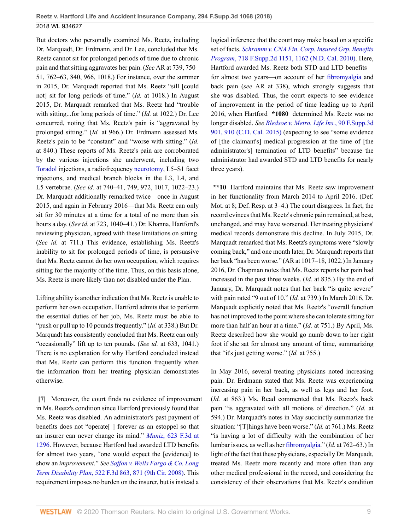But doctors who personally examined Ms. Reetz, including Dr. Marquadt, Dr. Erdmann, and Dr. Lee, concluded that Ms. Reetz cannot sit for prolonged periods of time due to chronic pain and that sitting aggravates her pain. (*See* AR at 739, 750– 51, 762–63, 840, 966, 1018.) For instance, over the summer in 2015, Dr. Marquadt reported that Ms. Reetz "sill [could not] sit for long periods of time." (*Id.* at 1018.) In August 2015, Dr. Marquadt remarked that Ms. Reetz had "trouble with sitting...for long periods of time." (*Id.* at 1022.) Dr. Lee concurred, noting that Ms. Reetz's pain is "aggravated by prolonged sitting." (*Id.* at 966.) Dr. Erdmann assessed Ms. Reetz's pain to be "constant" and "worse with sitting." (*Id.* at 840.) These reports of Ms. Reetz's pain are corroborated by the various injections she underwent, including two [Toradol](http://www.westlaw.com/Link/Document/FullText?entityType=bdrug&entityId=I39b35aa4475111db9765f9243f53508a&originationContext=document&transitionType=DocumentItem&contextData=(sc.Default)&vr=3.0&rs=cblt1.0) injections, a radiofrequency [neurotomy,](http://www.westlaw.com/Link/Document/FullText?entityType=mproc&entityId=Ic30485b8475411db9765f9243f53508a&originationContext=document&transitionType=DocumentItem&contextData=(sc.Default)&vr=3.0&rs=cblt1.0) L5–S1 facet injections, and medical branch blocks in the L3, L4, and L5 vertebrae. (*See id.* at 740–41, 749, 972, 1017, 1022–23.) Dr. Marquadt additionally remarked twice—once in August 2015, and again in February 2016—that Ms. Reetz can only sit for 30 minutes at a time for a total of no more than six hours a day. (*See id.* at 723, 1040–41.) Dr. Khanna, Hartford's reviewing physician, agreed with these limitations on sitting. (*See id.* at 711.) This evidence, establishing Ms. Reetz's inability to sit for prolonged periods of time, is persuasive that Ms. Reetz cannot do her own occupation, which requires sitting for the majority of the time. Thus, on this basis alone, Ms. Reetz is more likely than not disabled under the Plan.

Lifting ability is another indication that Ms. Reetz is unable to perform her own occupation. Hartford admits that to perform the essential duties of her job, Ms. Reetz must be able to "push or pull up to 10 pounds frequently." (*Id.* at 338.) But Dr. Marquadt has consistently concluded that Ms. Reetz can only "occasionally" lift up to ten pounds. (*See id.* at 633, 1041.) There is no explanation for why Hartford concluded instead that Ms. Reetz can perform this function frequently when the information from her treating physician demonstrates otherwise.

<span id="page-8-0"></span>**[\[7\]](#page-1-1)** Moreover, the court finds no evidence of improvement in Ms. Reetz's condition since Hartford previously found that Ms. Reetz was disabled. An administrator's past payment of benefits does not "operate[ ] forever as an estoppel so that an insurer can never change its mind." *Muniz*[, 623 F.3d at](http://www.westlaw.com/Link/Document/FullText?findType=Y&serNum=2023501190&pubNum=0000506&originatingDoc=Id4b79a80158b11e8b0f5f1ddd5677a94&refType=RP&fi=co_pp_sp_506_1296&originationContext=document&vr=3.0&rs=cblt1.0&transitionType=DocumentItem&contextData=(sc.UserEnteredCitation)#co_pp_sp_506_1296) [1296](http://www.westlaw.com/Link/Document/FullText?findType=Y&serNum=2023501190&pubNum=0000506&originatingDoc=Id4b79a80158b11e8b0f5f1ddd5677a94&refType=RP&fi=co_pp_sp_506_1296&originationContext=document&vr=3.0&rs=cblt1.0&transitionType=DocumentItem&contextData=(sc.UserEnteredCitation)#co_pp_sp_506_1296). However, because Hartford had awarded LTD benefits for almost two years, "one would expect the [evidence] to show an *improvement*." *See [Saffon v. Wells Fargo & Co. Long](http://www.westlaw.com/Link/Document/FullText?findType=Y&serNum=2015801487&pubNum=0000506&originatingDoc=Id4b79a80158b11e8b0f5f1ddd5677a94&refType=RP&fi=co_pp_sp_506_871&originationContext=document&vr=3.0&rs=cblt1.0&transitionType=DocumentItem&contextData=(sc.UserEnteredCitation)#co_pp_sp_506_871) Term Disability Plan*[, 522 F.3d 863, 871 \(9th Cir. 2008\)](http://www.westlaw.com/Link/Document/FullText?findType=Y&serNum=2015801487&pubNum=0000506&originatingDoc=Id4b79a80158b11e8b0f5f1ddd5677a94&refType=RP&fi=co_pp_sp_506_871&originationContext=document&vr=3.0&rs=cblt1.0&transitionType=DocumentItem&contextData=(sc.UserEnteredCitation)#co_pp_sp_506_871). This requirement imposes no burden on the insurer, but is instead a

logical inference that the court may make based on a specific set of facts. *[Schramm v. CNA Fin. Corp. Insured Grp. Benefits](http://www.westlaw.com/Link/Document/FullText?findType=Y&serNum=2022333994&pubNum=0004637&originatingDoc=Id4b79a80158b11e8b0f5f1ddd5677a94&refType=RP&fi=co_pp_sp_4637_1162&originationContext=document&vr=3.0&rs=cblt1.0&transitionType=DocumentItem&contextData=(sc.UserEnteredCitation)#co_pp_sp_4637_1162) Program*[, 718 F.Supp.2d 1151, 1162 \(N.D. Cal. 2010\).](http://www.westlaw.com/Link/Document/FullText?findType=Y&serNum=2022333994&pubNum=0004637&originatingDoc=Id4b79a80158b11e8b0f5f1ddd5677a94&refType=RP&fi=co_pp_sp_4637_1162&originationContext=document&vr=3.0&rs=cblt1.0&transitionType=DocumentItem&contextData=(sc.UserEnteredCitation)#co_pp_sp_4637_1162) Here, Hartford awarded Ms. Reetz both STD and LTD benefits for almost two years—on account of her [fibromyalgia](http://www.westlaw.com/Link/Document/FullText?entityType=disease&entityId=Ic21f0856475411db9765f9243f53508a&originationContext=document&transitionType=DocumentItem&contextData=(sc.Default)&vr=3.0&rs=cblt1.0) and back pain (*see* AR at 338), which strongly suggests that she was disabled. Thus, the court expects to see evidence of improvement in the period of time leading up to April 2016, when Hartford **\*1080** determined Ms. Reetz was no longer disabled. *See [Bledsoe v. Metro. Life Ins.](http://www.westlaw.com/Link/Document/FullText?findType=Y&serNum=2035483862&pubNum=0007903&originatingDoc=Id4b79a80158b11e8b0f5f1ddd5677a94&refType=RP&fi=co_pp_sp_7903_910&originationContext=document&vr=3.0&rs=cblt1.0&transitionType=DocumentItem&contextData=(sc.UserEnteredCitation)#co_pp_sp_7903_910)*, 90 F.Supp.3d [901, 910 \(C.D. Cal. 2015\)](http://www.westlaw.com/Link/Document/FullText?findType=Y&serNum=2035483862&pubNum=0007903&originatingDoc=Id4b79a80158b11e8b0f5f1ddd5677a94&refType=RP&fi=co_pp_sp_7903_910&originationContext=document&vr=3.0&rs=cblt1.0&transitionType=DocumentItem&contextData=(sc.UserEnteredCitation)#co_pp_sp_7903_910) (expecting to see "some evidence of [the claimant's] medical progression at the time of [the administrator's] termination of LTD benefits" because the administrator had awarded STD and LTD benefits for nearly three years).

**\*\*10** Hartford maintains that Ms. Reetz saw improvement in her functionality from March 2014 to April 2016. (Def. Mot. at 8; Def. Resp. at 3–4.) The court disagrees. In fact, the record evinces that Ms. Reetz's chronic pain remained, at best, unchanged, and may have worsened. Her treating physicians' medical records demonstrate this decline. In July 2015, Dr. Marquadt remarked that Ms. Reetz's symptoms were "slowly coming back," and one month later, Dr. Marquadt reports that her back "has been worse." (AR at 1017–18, 1022.) In January 2016, Dr. Chapman notes that Ms. Reetz reports her pain had increased in the past three weeks. (*Id.* at 835.) By the end of January, Dr. Marquadt notes that her back "is quite severe" with pain rated "9 out of 10." (*Id.* at 739.) In March 2016, Dr. Marquadt explicitly noted that Ms. Reetz's "overall function has not improved to the point where she can tolerate sitting for more than half an hour at a time." (*Id.* at 751.) By April, Ms. Reetz described how she would go numb down to her right foot if she sat for almost any amount of time, summarizing that "it's just getting worse." (*Id.* at 755.)

In May 2016, several treating physicians noted increasing pain. Dr. Erdmann stated that Ms. Reetz was experiencing increasing pain in her back, as well as legs and her foot. (*Id.* at 863.) Ms. Read commented that Ms. Reetz's back pain "is aggravated with all motions of direction." (*Id.* at 594.) Dr. Marquadt's notes in May succinctly summarize the situation: "[T]hings have been worse." (*Id.* at 761.) Ms. Reetz "is having a lot of difficulty with the combination of her lumbar issues, as well as her [fibromyalgia](http://www.westlaw.com/Link/Document/FullText?entityType=disease&entityId=Ic21f0856475411db9765f9243f53508a&originationContext=document&transitionType=DocumentItem&contextData=(sc.Default)&vr=3.0&rs=cblt1.0)." (*Id.* at 762–63.) In light of the fact that these physicians, especially Dr. Marquadt, treated Ms. Reetz more recently and more often than any other medical professional in the record, and considering the consistency of their observations that Ms. Reetz's condition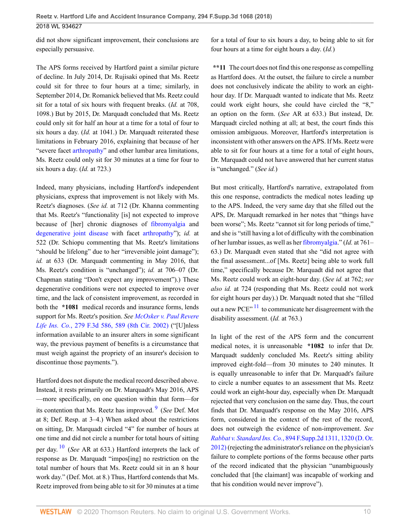did not show significant improvement, their conclusions are especially persuasive.

The APS forms received by Hartford paint a similar picture of decline. In July 2014, Dr. Rujisaki opined that Ms. Reetz could sit for three to four hours at a time; similarly, in September 2014, Dr. Romanick believed that Ms. Reetz could sit for a total of six hours with frequent breaks. (*Id.* at 708, 1098.) But by 2015, Dr. Marquadt concluded that Ms. Reetz could only sit for half an hour at a time for a total of four to six hours a day. (*Id.* at 1041.) Dr. Marquadt reiterated these limitations in February 2016, explaining that because of her "severe facet [arthropathy"](http://www.westlaw.com/Link/Document/FullText?entityType=disease&entityId=Ic63ad1fd475411db9765f9243f53508a&originationContext=document&transitionType=DocumentItem&contextData=(sc.Default)&vr=3.0&rs=cblt1.0) and other lumbar area limitations, Ms. Reetz could only sit for 30 minutes at a time for four to six hours a day. (*Id.* at 723.)

Indeed, many physicians, including Hartford's independent physicians, express that improvement is not likely with Ms. Reetz's diagnoses. (*See id.* at 712 (Dr. Khanna commenting that Ms. Reetz's "functionality [is] not expected to improve because of [her] chronic diagnoses of [fibromyalgia](http://www.westlaw.com/Link/Document/FullText?entityType=disease&entityId=Ic21f0856475411db9765f9243f53508a&originationContext=document&transitionType=DocumentItem&contextData=(sc.Default)&vr=3.0&rs=cblt1.0) and [degenerative joint disease](http://www.westlaw.com/Link/Document/FullText?entityType=disease&entityId=Ibf43d470475411db9765f9243f53508a&originationContext=document&transitionType=DocumentItem&contextData=(sc.Default)&vr=3.0&rs=cblt1.0) with facet [arthropathy](http://www.westlaw.com/Link/Document/FullText?entityType=disease&entityId=Ic63ad1fd475411db9765f9243f53508a&originationContext=document&transitionType=DocumentItem&contextData=(sc.Default)&vr=3.0&rs=cblt1.0)"); *id.* at 522 (Dr. Schiopu commenting that Ms. Reetz's limitations "should be lifelong" due to her "irreversible joint damage"); *id.* at 633 (Dr. Marquadt commenting in May 2016, that Ms. Reetz's condition is "unchanged"); *id.* at 706–07 (Dr. Chapman stating "Don't expect any improvement").) These degenerative conditions were not expected to improve over time, and the lack of consistent improvement, as recorded in both the **\*1081** medical records and insurance forms, lends support for Ms. Reetz's position. *See [McOsker v. Paul Revere](http://www.westlaw.com/Link/Document/FullText?findType=Y&serNum=2002103736&pubNum=0000506&originatingDoc=Id4b79a80158b11e8b0f5f1ddd5677a94&refType=RP&fi=co_pp_sp_506_589&originationContext=document&vr=3.0&rs=cblt1.0&transitionType=DocumentItem&contextData=(sc.UserEnteredCitation)#co_pp_sp_506_589) Life Ins. Co.*[, 279 F.3d 586, 589 \(8th Cir. 2002\)](http://www.westlaw.com/Link/Document/FullText?findType=Y&serNum=2002103736&pubNum=0000506&originatingDoc=Id4b79a80158b11e8b0f5f1ddd5677a94&refType=RP&fi=co_pp_sp_506_589&originationContext=document&vr=3.0&rs=cblt1.0&transitionType=DocumentItem&contextData=(sc.UserEnteredCitation)#co_pp_sp_506_589) ("[U]nless information available to an insurer alters in some significant way, the previous payment of benefits is a circumstance that must weigh against the propriety of an insurer's decision to discontinue those payments.").

<span id="page-9-1"></span>Hartford does not dispute the medical record described above. Instead, it rests primarily on Dr. Marquadt's May 2016, APS —more specifically, on one question within that form—for its contention that Ms. Reetz has improved. [9](#page-13-6) (*See* Def. Mot at 8; Def. Resp. at 3–4.) When asked about the restrictions on sitting, Dr. Marquadt circled "4" for number of hours at one time and did not circle a number for total hours of sitting per day. [10](#page-13-7) (*See* AR at 633.) Hartford interprets the lack of response as Dr. Marquadt "impos[ing] no restriction on the total number of hours that Ms. Reetz could sit in an 8 hour work day." (Def. Mot. at 8.) Thus, Hartford contends that Ms. Reetz improved from being able to sit for 30 minutes at a time

for a total of four to six hours a day, to being able to sit for four hours at a time for eight hours a day. (*Id.*)

**\*\*11** The court does not find this one response as compelling as Hartford does. At the outset, the failure to circle a number does not conclusively indicate the ability to work an eighthour day. If Dr. Marquadt wanted to indicate that Ms. Reetz could work eight hours, she could have circled the "8," an option on the form. (*See* AR at 633.) But instead, Dr. Marquadt circled nothing at all; at best, the court finds this omission ambiguous. Moreover, Hartford's interpretation is inconsistent with other answers on the APS. If Ms. Reetz were able to sit for four hours at a time for a total of eight hours, Dr. Marquadt could not have answered that her current status is "unchanged." (*See id.*)

But most critically, Hartford's narrative, extrapolated from this one response, contradicts the medical notes leading up to the APS. Indeed, the very same day that she filled out the APS, Dr. Marquadt remarked in her notes that "things have been worse"; Ms. Reetz "cannot sit for long periods of time," and she is "still having a lot of difficulty with the combination of her lumbar issues, as well as her [fibromyalgia](http://www.westlaw.com/Link/Document/FullText?entityType=disease&entityId=Ic21f0856475411db9765f9243f53508a&originationContext=document&transitionType=DocumentItem&contextData=(sc.Default)&vr=3.0&rs=cblt1.0)." (*Id.* at 761– 63.) Dr. Marquadt even stated that she "did not agree with the final assessment...of [Ms. Reetz] being able to work full time," specifically because Dr. Marquadt did not agree that Ms. Reetz could work an eight-hour day. (*See id.* at 762; *see also id.* at 724 (responding that Ms. Reetz could not work for eight hours per day).) Dr. Marquadt noted that she "filled out a new PCE"  $11$  to communicate her disagreement with the disability assessment. (*Id.* at 763.)

<span id="page-9-2"></span><span id="page-9-0"></span>In light of the rest of the APS form and the concurrent medical notes, it is unreasonable **\*1082** to infer that Dr. Marquadt suddenly concluded Ms. Reetz's sitting ability improved eight-fold—from 30 minutes to 240 minutes. It is equally unreasonable to infer that Dr. Marquadt's failure to circle a number equates to an assessment that Ms. Reetz could work an eight-hour day, especially when Dr. Marquadt rejected that very conclusion on the same day. Thus, the court finds that Dr. Marquadt's response on the May 2016, APS form, considered in the context of the rest of the record, does not outweigh the evidence of non-improvement. *See Rabbat v. Standard Ins. Co.*[, 894 F.Supp.2d 1311, 1320 \(D. Or.](http://www.westlaw.com/Link/Document/FullText?findType=Y&serNum=2028757653&pubNum=0004637&originatingDoc=Id4b79a80158b11e8b0f5f1ddd5677a94&refType=RP&fi=co_pp_sp_4637_1320&originationContext=document&vr=3.0&rs=cblt1.0&transitionType=DocumentItem&contextData=(sc.UserEnteredCitation)#co_pp_sp_4637_1320) [2012\)](http://www.westlaw.com/Link/Document/FullText?findType=Y&serNum=2028757653&pubNum=0004637&originatingDoc=Id4b79a80158b11e8b0f5f1ddd5677a94&refType=RP&fi=co_pp_sp_4637_1320&originationContext=document&vr=3.0&rs=cblt1.0&transitionType=DocumentItem&contextData=(sc.UserEnteredCitation)#co_pp_sp_4637_1320) (rejecting the administrator's reliance on the physician's failure to complete portions of the forms because other parts of the record indicated that the physician "unambiguously concluded that [the claimant] was incapable of working and that his condition would never improve").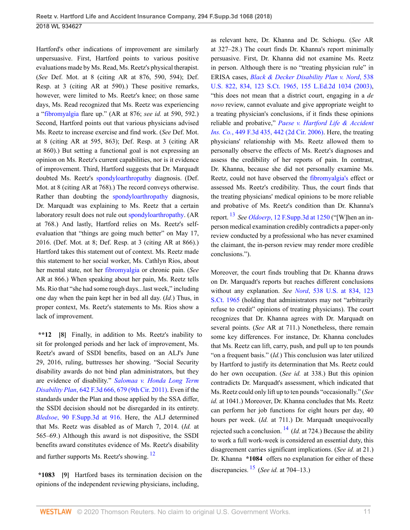Hartford's other indications of improvement are similarly unpersuasive. First, Hartford points to various positive evaluations made by Ms. Read, Ms. Reetz's physical therapist. (*See* Def. Mot. at 8 (citing AR at 876, 590, 594); Def. Resp. at 3 (citing AR at 590).) These positive remarks, however, were limited to Ms. Reetz's knee; on those same days, Ms. Read recognized that Ms. Reetz was experiencing a ["fibromyalgia](http://www.westlaw.com/Link/Document/FullText?entityType=disease&entityId=Ic21f0856475411db9765f9243f53508a&originationContext=document&transitionType=DocumentItem&contextData=(sc.Default)&vr=3.0&rs=cblt1.0) flare up." (AR at 876; *see id.* at 590, 592.) Second, Hartford points out that various physicians advised Ms. Reetz to increase exercise and find work. (*See* Def. Mot. at 8 (citing AR at 595, 863); Def. Resp. at 3 (citing AR at 860).) But setting a functional goal is not expressing an opinion on Ms. Reetz's current capabilities, nor is it evidence of improvement. Third, Hartford suggests that Dr. Marquadt doubted Ms. Reetz's [spondyloarthropathy](http://www.westlaw.com/Link/Document/FullText?entityType=disease&entityId=Ibe3ff8f0475411db9765f9243f53508a&originationContext=document&transitionType=DocumentItem&contextData=(sc.Default)&vr=3.0&rs=cblt1.0) diagnosis. (Def. Mot. at 8 (citing AR at 768).) The record conveys otherwise. Rather than doubting the [spondyloarthropathy](http://www.westlaw.com/Link/Document/FullText?entityType=disease&entityId=Ibe3ff8f0475411db9765f9243f53508a&originationContext=document&transitionType=DocumentItem&contextData=(sc.Default)&vr=3.0&rs=cblt1.0) diagnosis, Dr. Marquadt was explaining to Ms. Reetz that a certain laboratory result does not rule out [spondyloarthropathy.](http://www.westlaw.com/Link/Document/FullText?entityType=disease&entityId=Ibe3ff8f0475411db9765f9243f53508a&originationContext=document&transitionType=DocumentItem&contextData=(sc.Default)&vr=3.0&rs=cblt1.0) (AR at 768.) And lastly, Hartford relies on Ms. Reetz's selfevaluation that "things are going much better" on May 17, 2016. (Def. Mot. at 8; Def. Resp. at 3 (citing AR at 866).) Hartford takes this statement out of context. Ms. Reetz made this statement to her social worker, Ms. Cathlyn Rios, about her mental state, not her [fibromyalgia](http://www.westlaw.com/Link/Document/FullText?entityType=disease&entityId=Ic21f0856475411db9765f9243f53508a&originationContext=document&transitionType=DocumentItem&contextData=(sc.Default)&vr=3.0&rs=cblt1.0) or chronic pain. (*See* AR at 866.) When speaking about her pain, Ms. Reetz tells Ms. Rio that "she had some rough days...last week," including one day when the pain kept her in bed all day. (*Id.*) Thus, in proper context, Ms. Reetz's statements to Ms. Rios show a lack of improvement.

<span id="page-10-0"></span>**\*\*12 [\[8\]](#page-1-2)** Finally, in addition to Ms. Reetz's inability to sit for prolonged periods and her lack of improvement, Ms. Reetz's award of SSDI benefits, based on an ALJ's June 29, 2016, ruling, buttresses her showing. "Social Security disability awards do not bind plan administrators, but they are evidence of disability." *[Salomaa v. Honda Long Term](http://www.westlaw.com/Link/Document/FullText?findType=Y&serNum=2025355366&pubNum=0000506&originatingDoc=Id4b79a80158b11e8b0f5f1ddd5677a94&refType=RP&fi=co_pp_sp_506_679&originationContext=document&vr=3.0&rs=cblt1.0&transitionType=DocumentItem&contextData=(sc.UserEnteredCitation)#co_pp_sp_506_679) Disability Plan*[, 642 F.3d 666, 679 \(9th Cir. 2011\).](http://www.westlaw.com/Link/Document/FullText?findType=Y&serNum=2025355366&pubNum=0000506&originatingDoc=Id4b79a80158b11e8b0f5f1ddd5677a94&refType=RP&fi=co_pp_sp_506_679&originationContext=document&vr=3.0&rs=cblt1.0&transitionType=DocumentItem&contextData=(sc.UserEnteredCitation)#co_pp_sp_506_679) Even if the standards under the Plan and those applied by the SSA differ, the SSDI decision should not be disregarded in its entirety. *Bledsoe*[, 90 F.Supp.3d at 916](http://www.westlaw.com/Link/Document/FullText?findType=Y&serNum=2035483862&pubNum=0007903&originatingDoc=Id4b79a80158b11e8b0f5f1ddd5677a94&refType=RP&fi=co_pp_sp_7903_916&originationContext=document&vr=3.0&rs=cblt1.0&transitionType=DocumentItem&contextData=(sc.UserEnteredCitation)#co_pp_sp_7903_916). Here, the ALJ determined that Ms. Reetz was disabled as of March 7, 2014. (*Id.* at 565–69.) Although this award is not dispositive, the SSDI benefits award constitutes evidence of Ms. Reetz's disability and further supports Ms. Reetz's showing. [12](#page-13-9)

<span id="page-10-2"></span><span id="page-10-1"></span>**\*1083 [\[9\]](#page-1-3)** Hartford bases its termination decision on the opinions of the independent reviewing physicians, including,

as relevant here, Dr. Khanna and Dr. Schiopu. (*See* AR at 327–28.) The court finds Dr. Khanna's report minimally persuasive. First, Dr. Khanna did not examine Ms. Reetz in person. Although there is no "treating physician rule" in ERISA cases, *[Black & Decker Disability Plan v. Nord](http://www.westlaw.com/Link/Document/FullText?findType=Y&serNum=2003378337&pubNum=0000780&originatingDoc=Id4b79a80158b11e8b0f5f1ddd5677a94&refType=RP&fi=co_pp_sp_780_834&originationContext=document&vr=3.0&rs=cblt1.0&transitionType=DocumentItem&contextData=(sc.UserEnteredCitation)#co_pp_sp_780_834)*, 538 [U.S. 822, 834, 123 S.Ct. 1965, 155 L.Ed.2d 1034 \(2003\),](http://www.westlaw.com/Link/Document/FullText?findType=Y&serNum=2003378337&pubNum=0000780&originatingDoc=Id4b79a80158b11e8b0f5f1ddd5677a94&refType=RP&fi=co_pp_sp_780_834&originationContext=document&vr=3.0&rs=cblt1.0&transitionType=DocumentItem&contextData=(sc.UserEnteredCitation)#co_pp_sp_780_834) "this does not mean that a district court, engaging in a *de novo* review, cannot evaluate and give appropriate weight to a treating physician's conclusions, if it finds these opinions reliable and probative," *[Paese v. Hartford Life & Accident](http://www.westlaw.com/Link/Document/FullText?findType=Y&serNum=2009220124&pubNum=0000506&originatingDoc=Id4b79a80158b11e8b0f5f1ddd5677a94&refType=RP&fi=co_pp_sp_506_442&originationContext=document&vr=3.0&rs=cblt1.0&transitionType=DocumentItem&contextData=(sc.UserEnteredCitation)#co_pp_sp_506_442) Ins. Co.*[, 449 F.3d 435, 442 \(2d Cir. 2006\)](http://www.westlaw.com/Link/Document/FullText?findType=Y&serNum=2009220124&pubNum=0000506&originatingDoc=Id4b79a80158b11e8b0f5f1ddd5677a94&refType=RP&fi=co_pp_sp_506_442&originationContext=document&vr=3.0&rs=cblt1.0&transitionType=DocumentItem&contextData=(sc.UserEnteredCitation)#co_pp_sp_506_442). Here, the treating physicians' relationship with Ms. Reetz allowed them to personally observe the effects of Ms. Reetz's diagnoses and assess the credibility of her reports of pain. In contrast, Dr. Khanna, because she did not personally examine Ms. Reetz, could not have observed the [fibromyalgia's](http://www.westlaw.com/Link/Document/FullText?entityType=disease&entityId=Ic21f0856475411db9765f9243f53508a&originationContext=document&transitionType=DocumentItem&contextData=(sc.Default)&vr=3.0&rs=cblt1.0) effect or assessed Ms. Reetz's credibility. Thus, the court finds that the treating physicians' medical opinions to be more reliable and probative of Ms. Reetz's condition than Dr. Khanna's report. [13](#page-13-10) *See Oldoerp*[, 12 F.Supp.3d at 1250](http://www.westlaw.com/Link/Document/FullText?findType=Y&serNum=2032613026&pubNum=0007903&originatingDoc=Id4b79a80158b11e8b0f5f1ddd5677a94&refType=RP&fi=co_pp_sp_7903_1250&originationContext=document&vr=3.0&rs=cblt1.0&transitionType=DocumentItem&contextData=(sc.UserEnteredCitation)#co_pp_sp_7903_1250) ("[W]hen an inperson medical examination credibly contradicts a paper-only review conducted by a professional who has never examined the claimant, the in-person review may render more credible conclusions.").

<span id="page-10-5"></span><span id="page-10-4"></span><span id="page-10-3"></span>Moreover, the court finds troubling that Dr. Khanna draws on Dr. Marquadt's reports but reaches different conclusions without any explanation. *See Nord*[, 538 U.S. at 834, 123](http://www.westlaw.com/Link/Document/FullText?findType=Y&serNum=2003378337&pubNum=0000780&originatingDoc=Id4b79a80158b11e8b0f5f1ddd5677a94&refType=RP&fi=co_pp_sp_780_834&originationContext=document&vr=3.0&rs=cblt1.0&transitionType=DocumentItem&contextData=(sc.UserEnteredCitation)#co_pp_sp_780_834) [S.Ct. 1965](http://www.westlaw.com/Link/Document/FullText?findType=Y&serNum=2003378337&pubNum=0000780&originatingDoc=Id4b79a80158b11e8b0f5f1ddd5677a94&refType=RP&fi=co_pp_sp_780_834&originationContext=document&vr=3.0&rs=cblt1.0&transitionType=DocumentItem&contextData=(sc.UserEnteredCitation)#co_pp_sp_780_834) (holding that administrators may not "arbitrarily refuse to credit" opinions of treating physicians). The court recognizes that Dr. Khanna agrees with Dr. Marquadt on several points. (*See* AR at 711.) Nonetheless, there remain some key differences. For instance, Dr. Khanna concludes that Ms. Reetz can lift, carry, push, and pull up to ten pounds "on a frequent basis." (*Id.*) This conclusion was later utilized by Hartford to justify its determination that Ms. Reetz could do her own occupation. (*See id.* at 338.) But this opinion contradicts Dr. Marquadt's assessment, which indicated that Ms. Reetz could only lift up to ten pounds "occasionally." (*See id.* at 1041.) Moreover, Dr. Khanna concludes that Ms. Reetz can perform her job functions for eight hours per day, 40 hours per week. (*Id.* at 711.) Dr. Marquadt unequivocally rejected such a conclusion. [14](#page-13-11) (*Id.* at 724.) Because the ability to work a full work-week is considered an essential duty, this disagreement carries significant implications. (*See id.* at 21.) Dr. Khanna **\*1084** offers no explanation for either of these discrepancies. [15](#page-13-12) (*See id.* at 704–13.)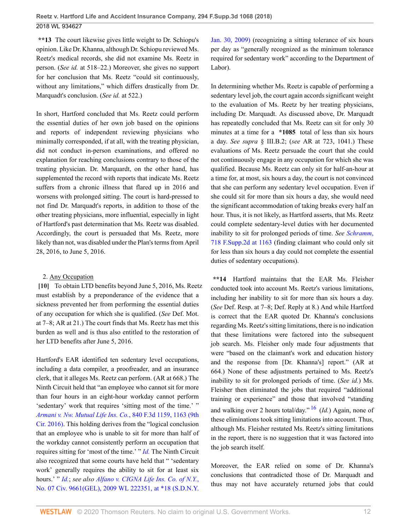**\*\*13** The court likewise gives little weight to Dr. Schiopu's opinion. Like Dr. Khanna, although Dr. Schiopu reviewed Ms. Reetz's medical records, she did not examine Ms. Reetz in person. (*See id.* at 518–22.) Moreover, she gives no support for her conclusion that Ms. Reetz "could sit continuously, without any limitations," which differs drastically from Dr. Marquadt's conclusion. (*See id.* at 522.)

In short, Hartford concluded that Ms. Reetz could perform the essential duties of her own job based on the opinions and reports of independent reviewing physicians who minimally corresponded, if at all, with the treating physician, did not conduct in-person examinations, and offered no explanation for reaching conclusions contrary to those of the treating physician. Dr. Marquardt, on the other hand, has supplemented the record with reports that indicate Ms. Reetz suffers from a chronic illness that flared up in 2016 and worsens with prolonged sitting. The court is hard-pressed to not find Dr. Marquadt's reports, in addition to those of the other treating physicians, more influential, especially in light of Hartford's past determination that Ms. Reetz was disabled. Accordingly, the court is persuaded that Ms. Reetz, more likely than not, was disabled under the Plan's terms from April 28, 2016, to June 5, 2016.

## <span id="page-11-0"></span>2. Any Occupation

**[\[10\]](#page-1-0)** To obtain LTD benefits beyond June 5, 2016, Ms. Reetz must establish by a preponderance of the evidence that a sickness prevented her from performing the essential duties of any occupation for which she is qualified. (*See* Def. Mot. at 7–8; AR at 21.) The court finds that Ms. Reetz has met this burden as well and is thus also entitled to the restoration of her LTD benefits after June 5, 2016.

Hartford's EAR identified ten sedentary level occupations, including a data compiler, a proofreader, and an insurance clerk, that it alleges Ms. Reetz can perform. (AR at 668.) The Ninth Circuit held that "an employee who cannot sit for more than four hours in an eight-hour workday cannot perform 'sedentary' work that requires 'sitting most of the time.' " *[Armani v. Nw. Mutual Life Ins. Co.](http://www.westlaw.com/Link/Document/FullText?findType=Y&serNum=2040241455&pubNum=0000506&originatingDoc=Id4b79a80158b11e8b0f5f1ddd5677a94&refType=RP&fi=co_pp_sp_506_1163&originationContext=document&vr=3.0&rs=cblt1.0&transitionType=DocumentItem&contextData=(sc.UserEnteredCitation)#co_pp_sp_506_1163)*, 840 F.3d 1159, 1163 (9th [Cir. 2016\)](http://www.westlaw.com/Link/Document/FullText?findType=Y&serNum=2040241455&pubNum=0000506&originatingDoc=Id4b79a80158b11e8b0f5f1ddd5677a94&refType=RP&fi=co_pp_sp_506_1163&originationContext=document&vr=3.0&rs=cblt1.0&transitionType=DocumentItem&contextData=(sc.UserEnteredCitation)#co_pp_sp_506_1163). This holding derives from the "logical conclusion that an employee who is unable to sit for more than half of the workday cannot consistently perform an occupation that requires sitting for 'most of the time.' " *[Id.](http://www.westlaw.com/Link/Document/FullText?findType=Y&serNum=2040241455&pubNum=0000506&originatingDoc=Id4b79a80158b11e8b0f5f1ddd5677a94&refType=RP&originationContext=document&vr=3.0&rs=cblt1.0&transitionType=DocumentItem&contextData=(sc.UserEnteredCitation))* The Ninth Circuit also recognized that some courts have held that " 'sedentary work' generally requires the ability to sit for at least six hours.' " *[Id.](http://www.westlaw.com/Link/Document/FullText?findType=Y&serNum=2040241455&pubNum=0000506&originatingDoc=Id4b79a80158b11e8b0f5f1ddd5677a94&refType=RP&originationContext=document&vr=3.0&rs=cblt1.0&transitionType=DocumentItem&contextData=(sc.UserEnteredCitation))*; *see also [Alfano v. CIGNA Life Ins. Co. of N.Y.](http://www.westlaw.com/Link/Document/FullText?findType=Y&serNum=2017982966&pubNum=0000999&originatingDoc=Id4b79a80158b11e8b0f5f1ddd5677a94&refType=RP&originationContext=document&vr=3.0&rs=cblt1.0&transitionType=DocumentItem&contextData=(sc.UserEnteredCitation))*, [No. 07 Civ. 9661\(GEL\), 2009 WL 222351, at \\*18 \(S.D.N.Y.](http://www.westlaw.com/Link/Document/FullText?findType=Y&serNum=2017982966&pubNum=0000999&originatingDoc=Id4b79a80158b11e8b0f5f1ddd5677a94&refType=RP&originationContext=document&vr=3.0&rs=cblt1.0&transitionType=DocumentItem&contextData=(sc.UserEnteredCitation))

[Jan. 30, 2009\)](http://www.westlaw.com/Link/Document/FullText?findType=Y&serNum=2017982966&pubNum=0000999&originatingDoc=Id4b79a80158b11e8b0f5f1ddd5677a94&refType=RP&originationContext=document&vr=3.0&rs=cblt1.0&transitionType=DocumentItem&contextData=(sc.UserEnteredCitation)) (recognizing a sitting tolerance of six hours per day as "generally recognized as the minimum tolerance required for sedentary work" according to the Department of Labor).

In determining whether Ms. Reetz is capable of performing a sedentary level job, the court again accords significant weight to the evaluation of Ms. Reetz by her treating physicians, including Dr. Marquadt. As discussed above, Dr. Marquadt has repeatedly concluded that Ms. Reetz can sit for only 30 minutes at a time for a **\*1085** total of less than six hours a day. *See supra* § III.B.2; (*see* AR at 723, 1041.) These evaluations of Ms. Reetz persuade the court that she could not continuously engage in any occupation for which she was qualified. Because Ms. Reetz can only sit for half-an-hour at a time for, at most, six hours a day, the court is not convinced that she can perform any sedentary level occupation. Even if she could sit for more than six hours a day, she would need the significant accommodation of taking breaks every half an hour. Thus, it is not likely, as Hartford asserts, that Ms. Reetz could complete sedentary-level duties with her documented inability to sit for prolonged periods of time. *See [Schramm](http://www.westlaw.com/Link/Document/FullText?findType=Y&serNum=2022333994&pubNum=0004637&originatingDoc=Id4b79a80158b11e8b0f5f1ddd5677a94&refType=RP&fi=co_pp_sp_4637_1163&originationContext=document&vr=3.0&rs=cblt1.0&transitionType=DocumentItem&contextData=(sc.UserEnteredCitation)#co_pp_sp_4637_1163)*, [718 F.Supp.2d at 1163](http://www.westlaw.com/Link/Document/FullText?findType=Y&serNum=2022333994&pubNum=0004637&originatingDoc=Id4b79a80158b11e8b0f5f1ddd5677a94&refType=RP&fi=co_pp_sp_4637_1163&originationContext=document&vr=3.0&rs=cblt1.0&transitionType=DocumentItem&contextData=(sc.UserEnteredCitation)#co_pp_sp_4637_1163) (finding claimant who could only sit for less than six hours a day could not complete the essential duties of sedentary occupations).

**\*\*14** Hartford maintains that the EAR Ms. Fleisher conducted took into account Ms. Reetz's various limitations, including her inability to sit for more than six hours a day. (*See* Def. Resp. at 7–8; Def. Reply at 8.) And while Hartford is correct that the EAR quoted Dr. Khanna's conclusions regarding Ms. Reetz's sitting limitations, there is no indication that these limitations were factored into the subsequent job search. Ms. Fleisher only made four adjustments that were "based on the claimant's work and education history and the response from [Dr. Khanna's] report." (AR at 664.) None of these adjustments pertained to Ms. Reetz's inability to sit for prolonged periods of time. (*See id.*) Ms. Fleisher then eliminated the jobs that required "additional training or experience" and those that involved "standing and walking over 2 hours total/day." [16](#page-13-13) (*Id.*) Again, none of these eliminations took sitting limitations into account. Thus, although Ms. Fleisher restated Ms. Reetz's sitting limitations in the report, there is no suggestion that it was factored into the job search itself.

<span id="page-11-1"></span>Moreover, the EAR relied on some of Dr. Khanna's conclusions that contradicted those of Dr. Marquadt and thus may not have accurately returned jobs that could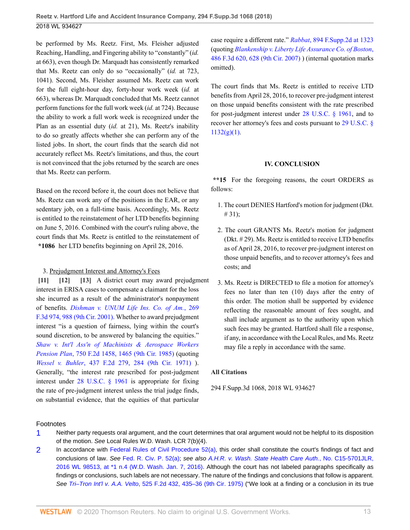be performed by Ms. Reetz. First, Ms. Fleisher adjusted Reaching, Handling, and Fingering ability to "constantly" (*id.* at 663), even though Dr. Marquadt has consistently remarked that Ms. Reetz can only do so "occasionally" (*id.* at 723, 1041). Second, Ms. Fleisher assumed Ms. Reetz can work for the full eight-hour day, forty-hour work week (*id.* at 663), whereas Dr. Marquadt concluded that Ms. Reetz cannot perform functions for the full work week (*id.* at 724). Because the ability to work a full work week is recognized under the Plan as an essential duty (*id.* at 21), Ms. Reetz's inability to do so greatly affects whether she can perform any of the listed jobs. In short, the court finds that the search did not accurately reflect Ms. Reetz's limitations, and thus, the court is not convinced that the jobs returned by the search are ones that Ms. Reetz can perform.

Based on the record before it, the court does not believe that Ms. Reetz can work any of the positions in the EAR, or any sedentary job, on a full-time basis. Accordingly, Ms. Reetz is entitled to the reinstatement of her LTD benefits beginning on June 5, 2016. Combined with the court's ruling above, the court finds that Ms. Reetz is entitled to the reinstatement of **\*1086** her LTD benefits beginning on April 28, 2016.

### <span id="page-12-2"></span><span id="page-12-1"></span><span id="page-12-0"></span>3. Prejudgment Interest and Attorney's Fees

**[\[11\]](#page-1-4) [\[12\]](#page-1-5) [\[13](#page-2-0)]** A district court may award prejudgment interest in ERISA cases to compensate a claimant for the loss she incurred as a result of the administrator's nonpayment of benefits. *[Dishman v. UNUM Life Ins. Co. of Am.](http://www.westlaw.com/Link/Document/FullText?findType=Y&serNum=2001879912&pubNum=0000506&originatingDoc=Id4b79a80158b11e8b0f5f1ddd5677a94&refType=RP&fi=co_pp_sp_506_988&originationContext=document&vr=3.0&rs=cblt1.0&transitionType=DocumentItem&contextData=(sc.UserEnteredCitation)#co_pp_sp_506_988)*, 269 [F.3d 974, 988 \(9th Cir. 2001\).](http://www.westlaw.com/Link/Document/FullText?findType=Y&serNum=2001879912&pubNum=0000506&originatingDoc=Id4b79a80158b11e8b0f5f1ddd5677a94&refType=RP&fi=co_pp_sp_506_988&originationContext=document&vr=3.0&rs=cblt1.0&transitionType=DocumentItem&contextData=(sc.UserEnteredCitation)#co_pp_sp_506_988) Whether to award prejudgment interest "is a question of fairness, lying within the court's sound discretion, to be answered by balancing the equities." *[Shaw v. Int'l Ass'n of Machinists & Aerospace Workers](http://www.westlaw.com/Link/Document/FullText?findType=Y&serNum=1985102034&pubNum=0000350&originatingDoc=Id4b79a80158b11e8b0f5f1ddd5677a94&refType=RP&fi=co_pp_sp_350_1465&originationContext=document&vr=3.0&rs=cblt1.0&transitionType=DocumentItem&contextData=(sc.UserEnteredCitation)#co_pp_sp_350_1465) Pension Plan*[, 750 F.2d 1458, 1465 \(9th Cir. 1985\)](http://www.westlaw.com/Link/Document/FullText?findType=Y&serNum=1985102034&pubNum=0000350&originatingDoc=Id4b79a80158b11e8b0f5f1ddd5677a94&refType=RP&fi=co_pp_sp_350_1465&originationContext=document&vr=3.0&rs=cblt1.0&transitionType=DocumentItem&contextData=(sc.UserEnteredCitation)#co_pp_sp_350_1465) (quoting *Wessel v. Buhler*[, 437 F.2d 279, 284 \(9th Cir. 1971\)](http://www.westlaw.com/Link/Document/FullText?findType=Y&serNum=1971108520&pubNum=0000350&originatingDoc=Id4b79a80158b11e8b0f5f1ddd5677a94&refType=RP&fi=co_pp_sp_350_284&originationContext=document&vr=3.0&rs=cblt1.0&transitionType=DocumentItem&contextData=(sc.UserEnteredCitation)#co_pp_sp_350_284) ). Generally, "the interest rate prescribed for post-judgment interest under [28 U.S.C. § 1961](http://www.westlaw.com/Link/Document/FullText?findType=L&pubNum=1000546&cite=28USCAS1961&originatingDoc=Id4b79a80158b11e8b0f5f1ddd5677a94&refType=LQ&originationContext=document&vr=3.0&rs=cblt1.0&transitionType=DocumentItem&contextData=(sc.UserEnteredCitation)) is appropriate for fixing the rate of pre-judgment interest unless the trial judge finds, on substantial evidence, that the equities of that particular

case require a different rate." *Rabbat*[, 894 F.Supp.2d at 1323](http://www.westlaw.com/Link/Document/FullText?findType=Y&serNum=2028757653&pubNum=0004637&originatingDoc=Id4b79a80158b11e8b0f5f1ddd5677a94&refType=RP&fi=co_pp_sp_4637_1323&originationContext=document&vr=3.0&rs=cblt1.0&transitionType=DocumentItem&contextData=(sc.UserEnteredCitation)#co_pp_sp_4637_1323) (quoting *[Blankenship v. Liberty Life Assurance Co. of Boston](http://www.westlaw.com/Link/Document/FullText?findType=Y&serNum=2012282883&pubNum=0000506&originatingDoc=Id4b79a80158b11e8b0f5f1ddd5677a94&refType=RP&fi=co_pp_sp_506_628&originationContext=document&vr=3.0&rs=cblt1.0&transitionType=DocumentItem&contextData=(sc.UserEnteredCitation)#co_pp_sp_506_628)*, [486 F.3d 620, 628 \(9th Cir. 2007\)](http://www.westlaw.com/Link/Document/FullText?findType=Y&serNum=2012282883&pubNum=0000506&originatingDoc=Id4b79a80158b11e8b0f5f1ddd5677a94&refType=RP&fi=co_pp_sp_506_628&originationContext=document&vr=3.0&rs=cblt1.0&transitionType=DocumentItem&contextData=(sc.UserEnteredCitation)#co_pp_sp_506_628) ) (internal quotation marks omitted).

The court finds that Ms. Reetz is entitled to receive LTD benefits from April 28, 2016, to recover pre-judgment interest on those unpaid benefits consistent with the rate prescribed for post-judgment interest under [28 U.S.C. § 1961,](http://www.westlaw.com/Link/Document/FullText?findType=L&pubNum=1000546&cite=28USCAS1961&originatingDoc=Id4b79a80158b11e8b0f5f1ddd5677a94&refType=LQ&originationContext=document&vr=3.0&rs=cblt1.0&transitionType=DocumentItem&contextData=(sc.UserEnteredCitation)) and to recover her attorney's fees and costs pursuant to [29 U.S.C. §](http://www.westlaw.com/Link/Document/FullText?findType=L&pubNum=1000546&cite=29USCAS1132&originatingDoc=Id4b79a80158b11e8b0f5f1ddd5677a94&refType=RB&originationContext=document&vr=3.0&rs=cblt1.0&transitionType=DocumentItem&contextData=(sc.UserEnteredCitation)#co_pp_4d690000c9482)  $1132(g)(1)$ .

### **IV. CONCLUSION**

**\*\*15** For the foregoing reasons, the court ORDERS as follows:

- 1. The court DENIES Hartford's motion for judgment (Dkt.  $# 31);$
- 2. The court GRANTS Ms. Reetz's motion for judgment (Dkt. # 29). Ms. Reetz is entitled to receive LTD benefits as of April 28, 2016, to recover pre-judgment interest on those unpaid benefits, and to recover attorney's fees and costs; and
- 3. Ms. Reetz is DIRECTED to file a motion for attorney's fees no later than ten (10) days after the entry of this order. The motion shall be supported by evidence reflecting the reasonable amount of fees sought, and shall include argument as to the authority upon which such fees may be granted. Hartford shall file a response, if any, in accordance with the Local Rules, and Ms. Reetz may file a reply in accordance with the same.

### **All Citations**

294 F.Supp.3d 1068, 2018 WL 934627

### Footnotes

- <span id="page-12-3"></span>[1](#page-2-1) Neither party requests oral argument, and the court determines that oral argument would not be helpful to its disposition of the motion. See Local Rules W.D. Wash. LCR 7(b)(4).
- <span id="page-12-4"></span>[2](#page-2-2) In accordance with [Federal Rules of Civil Procedure 52\(a\)](http://www.westlaw.com/Link/Document/FullText?findType=L&pubNum=1000600&cite=USFRCPR52&originatingDoc=Id4b79a80158b11e8b0f5f1ddd5677a94&refType=LQ&originationContext=document&vr=3.0&rs=cblt1.0&transitionType=DocumentItem&contextData=(sc.UserEnteredCitation)), this order shall constitute the court's findings of fact and conclusions of law. See [Fed. R. Civ. P. 52\(a\)](http://www.westlaw.com/Link/Document/FullText?findType=L&pubNum=1000600&cite=USFRCPR52&originatingDoc=Id4b79a80158b11e8b0f5f1ddd5677a94&refType=LQ&originationContext=document&vr=3.0&rs=cblt1.0&transitionType=DocumentItem&contextData=(sc.UserEnteredCitation)); see also [A.H.R. v. Wash. State Health Care Auth.](http://www.westlaw.com/Link/Document/FullText?findType=Y&serNum=2037968152&pubNum=0000999&originatingDoc=Id4b79a80158b11e8b0f5f1ddd5677a94&refType=RP&originationContext=document&vr=3.0&rs=cblt1.0&transitionType=DocumentItem&contextData=(sc.UserEnteredCitation)), No. C15-5701JLR, [2016 WL 98513, at \\*1 n.4 \(W.D. Wash. Jan. 7, 2016\).](http://www.westlaw.com/Link/Document/FullText?findType=Y&serNum=2037968152&pubNum=0000999&originatingDoc=Id4b79a80158b11e8b0f5f1ddd5677a94&refType=RP&originationContext=document&vr=3.0&rs=cblt1.0&transitionType=DocumentItem&contextData=(sc.UserEnteredCitation)) Although the court has not labeled paragraphs specifically as findings or conclusions, such labels are not necessary. The nature of the findings and conclusions that follow is apparent. See Tri–Tron Int'l v. A.A. Velto[, 525 F.2d 432, 435–36 \(9th Cir. 1975\)](http://www.westlaw.com/Link/Document/FullText?findType=Y&serNum=1975113010&pubNum=0000350&originatingDoc=Id4b79a80158b11e8b0f5f1ddd5677a94&refType=RP&fi=co_pp_sp_350_435&originationContext=document&vr=3.0&rs=cblt1.0&transitionType=DocumentItem&contextData=(sc.UserEnteredCitation)#co_pp_sp_350_435) ("We look at a finding or a conclusion in its true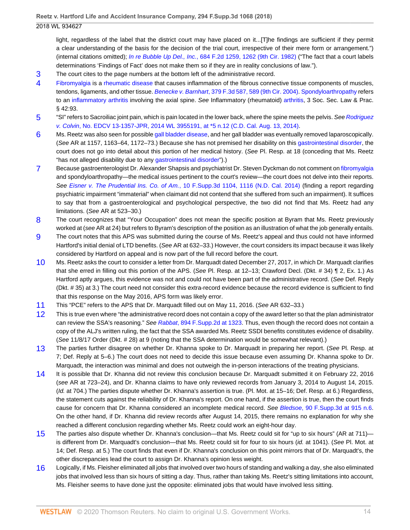light, regardless of the label that the district court may have placed on it...[T]he findings are sufficient if they permit a clear understanding of the basis for the decision of the trial court, irrespective of their mere form or arrangement.") (internal citations omitted); In re Bubble Up Del., Inc.[, 684 F.2d 1259, 1262 \(9th Cir. 1982\)](http://www.westlaw.com/Link/Document/FullText?findType=Y&serNum=1982137642&pubNum=0000350&originatingDoc=Id4b79a80158b11e8b0f5f1ddd5677a94&refType=RP&fi=co_pp_sp_350_1262&originationContext=document&vr=3.0&rs=cblt1.0&transitionType=DocumentItem&contextData=(sc.UserEnteredCitation)#co_pp_sp_350_1262) ("The fact that a court labels determinations 'Findings of Fact' does not make them so if they are in reality conclusions of law.").

- <span id="page-13-0"></span>[3](#page-2-3) The court cites to the page numbers at the bottom left of the administrative record.
- <span id="page-13-1"></span>[4](#page-3-0) [Fibromyalgia](http://www.westlaw.com/Link/Document/FullText?entityType=disease&entityId=Ic21f0856475411db9765f9243f53508a&originationContext=document&transitionType=DocumentItem&contextData=(sc.Default)&vr=3.0&rs=cblt1.0) is a [rheumatic disease](http://www.westlaw.com/Link/Document/FullText?entityType=disease&entityId=Ib9c08b3a475411db9765f9243f53508a&originationContext=document&transitionType=DocumentItem&contextData=(sc.Default)&vr=3.0&rs=cblt1.0) that causes inflammation of the fibrous connective tissue components of muscles, tendons, ligaments, and other tissue. Benecke v. Barnhart[, 379 F.3d 587, 589 \(9th Cir. 2004\).](http://www.westlaw.com/Link/Document/FullText?findType=Y&serNum=2004838943&pubNum=0000506&originatingDoc=Id4b79a80158b11e8b0f5f1ddd5677a94&refType=RP&fi=co_pp_sp_506_589&originationContext=document&vr=3.0&rs=cblt1.0&transitionType=DocumentItem&contextData=(sc.UserEnteredCitation)#co_pp_sp_506_589) [Spondyloarthropathy](http://www.westlaw.com/Link/Document/FullText?entityType=disease&entityId=Ibe3ff8f0475411db9765f9243f53508a&originationContext=document&transitionType=DocumentItem&contextData=(sc.Default)&vr=3.0&rs=cblt1.0) refers to an [inflammatory arthritis](http://www.westlaw.com/Link/Document/FullText?entityType=disease&entityId=Ib159d168475411db9765f9243f53508a&originationContext=document&transitionType=DocumentItem&contextData=(sc.Default)&vr=3.0&rs=cblt1.0) involving the axial spine. See Inflammatory (rheumatoid) [arthritis](http://www.westlaw.com/Link/Document/FullText?entityType=disease&entityId=Ib159d168475411db9765f9243f53508a&originationContext=document&transitionType=DocumentItem&contextData=(sc.Default)&vr=3.0&rs=cblt1.0), 3 Soc. Sec. Law & Prac. § 42:93.
- <span id="page-13-2"></span>[5](#page-3-1) "SI" refers to Sacroiliac joint pain, which is pain located in the lower back, where the spine meets the pelvis. See [Rodriguez](http://www.westlaw.com/Link/Document/FullText?findType=Y&serNum=2034094776&pubNum=0000999&originatingDoc=Id4b79a80158b11e8b0f5f1ddd5677a94&refType=RP&originationContext=document&vr=3.0&rs=cblt1.0&transitionType=DocumentItem&contextData=(sc.UserEnteredCitation)) v. Colvin[, No. EDCV 13-1357-JPR, 2014 WL 3955191, at \\*5 n.12 \(C.D. Cal. Aug. 13, 2014\)](http://www.westlaw.com/Link/Document/FullText?findType=Y&serNum=2034094776&pubNum=0000999&originatingDoc=Id4b79a80158b11e8b0f5f1ddd5677a94&refType=RP&originationContext=document&vr=3.0&rs=cblt1.0&transitionType=DocumentItem&contextData=(sc.UserEnteredCitation)).
- <span id="page-13-3"></span>[6](#page-3-2) Ms. Reetz was also seen for possible [gall bladder disease,](http://www.westlaw.com/Link/Document/FullText?entityType=disease&entityId=Iae3d9d8c475411db9765f9243f53508a&originationContext=document&transitionType=DocumentItem&contextData=(sc.Default)&vr=3.0&rs=cblt1.0) and her gall bladder was eventually removed laparoscopically. (See AR at 1157, 1163–64, 1172–73.) Because she has not premised her disability on this [gastrointestinal disorder,](http://www.westlaw.com/Link/Document/FullText?entityType=disease&entityId=Icac9cfe6475411db9765f9243f53508a&originationContext=document&transitionType=DocumentItem&contextData=(sc.Default)&vr=3.0&rs=cblt1.0) the court does not go into detail about this portion of her medical history. (See Pl. Resp. at 18 (conceding that Ms. Reetz "has not alleged disability due to any [gastrointestinal disorder"](http://www.westlaw.com/Link/Document/FullText?entityType=disease&entityId=Icac9cfe6475411db9765f9243f53508a&originationContext=document&transitionType=DocumentItem&contextData=(sc.Default)&vr=3.0&rs=cblt1.0)).)
- <span id="page-13-4"></span>[7](#page-6-0) Because gastroenterologist Dr. Alexander Shapsis and psychiatrist Dr. Steven Dyckman do not comment on [fibromyalgia](http://www.westlaw.com/Link/Document/FullText?entityType=disease&entityId=Ic21f0856475411db9765f9243f53508a&originationContext=document&transitionType=DocumentItem&contextData=(sc.Default)&vr=3.0&rs=cblt1.0) and spondyloarthropathy—the medical issues pertinent to the court's review—the court does not delve into their reports. See Eisner v. The Prudential Ins. Co. of Am.[, 10 F.Supp.3d 1104, 1116 \(N.D. Cal. 2014\)](http://www.westlaw.com/Link/Document/FullText?findType=Y&serNum=2032586376&pubNum=0007903&originatingDoc=Id4b79a80158b11e8b0f5f1ddd5677a94&refType=RP&fi=co_pp_sp_7903_1116&originationContext=document&vr=3.0&rs=cblt1.0&transitionType=DocumentItem&contextData=(sc.UserEnteredCitation)#co_pp_sp_7903_1116) (finding a report regarding psychiatric impairment "immaterial" when claimant did not contend that she suffered from such an impairment). It suffices to say that from a gastroenterological and psychological perspective, the two did not find that Ms. Reetz had any limitations. (See AR at 523–30.)
- <span id="page-13-5"></span>[8](#page-7-6) The court recognizes that "Your Occupation" does not mean the specific position at Byram that Ms. Reetz previously worked at (see AR at 24) but refers to Byram's description of the position as an illustration of what the job generally entails.
- <span id="page-13-6"></span>[9](#page-9-0) The court notes that this APS was submitted during the course of Ms. Reetz's appeal and thus could not have informed Hartford's initial denial of LTD benefits. (See AR at 632–33.) However, the court considers its impact because it was likely considered by Hartford on appeal and is now part of the full record before the court.
- <span id="page-13-7"></span>[10](#page-9-1) Ms. Reetz asks the court to consider a letter from Dr. Marquadt dated December 27, 2017, in which Dr. Marquadt clarifies that she erred in filling out this portion of the APS. (See Pl. Resp. at 12–13; Crawford Decl. (Dkt. # 34) ¶ 2, Ex. 1.) As Hartford aptly argues, this evidence was not and could not have been part of the administrative record. (See Def. Reply (Dkt. # 35) at 3.) The court need not consider this extra-record evidence because the record evidence is sufficient to find that this response on the May 2016, APS form was likely error.
- <span id="page-13-8"></span>[11](#page-9-2) This "PCE" refers to the APS that Dr. Marquadt filled out on May 11, 2016. (See AR 632–33.)
- <span id="page-13-9"></span>[12](#page-10-2) This is true even where "the administrative record does not contain a copy of the award letter so that the plan administrator can review the SSA's reasoning." See Rabbat[, 894 F.Supp.2d at 1323](http://www.westlaw.com/Link/Document/FullText?findType=Y&serNum=2028757653&pubNum=0004637&originatingDoc=Id4b79a80158b11e8b0f5f1ddd5677a94&refType=RP&fi=co_pp_sp_4637_1323&originationContext=document&vr=3.0&rs=cblt1.0&transitionType=DocumentItem&contextData=(sc.UserEnteredCitation)#co_pp_sp_4637_1323). Thus, even though the record does not contain a copy of the ALJ's written ruling, the fact that the SSA awarded Ms. Reetz SSDI benefits constitutes evidence of disability. (See 11/8/17 Order (Dkt. # 28) at 9 (noting that the SSA determination would be somewhat relevant).)
- <span id="page-13-10"></span>[13](#page-10-3) The parties further disagree on whether Dr. Khanna spoke to Dr. Marquadt in preparing her report. (See Pl. Resp. at 7; Def. Reply at 5–6.) The court does not need to decide this issue because even assuming Dr. Khanna spoke to Dr. Marquadt, the interaction was minimal and does not outweigh the in-person interactions of the treating physicians.
- <span id="page-13-11"></span>[14](#page-10-4) It is possible that Dr. Khanna did not review this conclusion because Dr. Marquadt submitted it on February 22, 2016 (see AR at 723–24), and Dr. Khanna claims to have only reviewed records from January 3, 2014 to August 14, 2015. (Id. at 704.) The parties dispute whether Dr. Khanna's assertion is true. (Pl. Mot. at 15–16; Def. Resp. at 6.) Regardless, the statement cuts against the reliability of Dr. Khanna's report. On one hand, if the assertion is true, then the court finds cause for concern that Dr. Khanna considered an incomplete medical record. See Bledsoe[, 90 F.Supp.3d at 915 n.6](http://www.westlaw.com/Link/Document/FullText?findType=Y&serNum=2035483862&pubNum=0007903&originatingDoc=Id4b79a80158b11e8b0f5f1ddd5677a94&refType=RP&fi=co_pp_sp_7903_915&originationContext=document&vr=3.0&rs=cblt1.0&transitionType=DocumentItem&contextData=(sc.UserEnteredCitation)#co_pp_sp_7903_915). On the other hand, if Dr. Khanna did review records after August 14, 2015, there remains no explanation for why she reached a different conclusion regarding whether Ms. Reetz could work an eight-hour day.
- <span id="page-13-12"></span>[15](#page-10-5) The parties also dispute whether Dr. Khanna's conclusion—that Ms. Reetz could sit for "up to six hours" (AR at 711) is different from Dr. Marquadt's conclusion—that Ms. Reetz could sit for four to six hours (id. at 1041). (See Pl. Mot. at 14; Def. Resp. at 5.) The court finds that even if Dr. Khanna's conclusion on this point mirrors that of Dr. Marquadt's, the other discrepancies lead the court to assign Dr. Khanna's opinion less weight.
- <span id="page-13-13"></span>[16](#page-11-1) Logically, if Ms. Fleisher eliminated all jobs that involved over two hours of standing and walking a day, she also eliminated jobs that involved less than six hours of sitting a day. Thus, rather than taking Ms. Reetz's sitting limitations into account, Ms. Fleisher seems to have done just the opposite: eliminated jobs that would have involved less sitting.